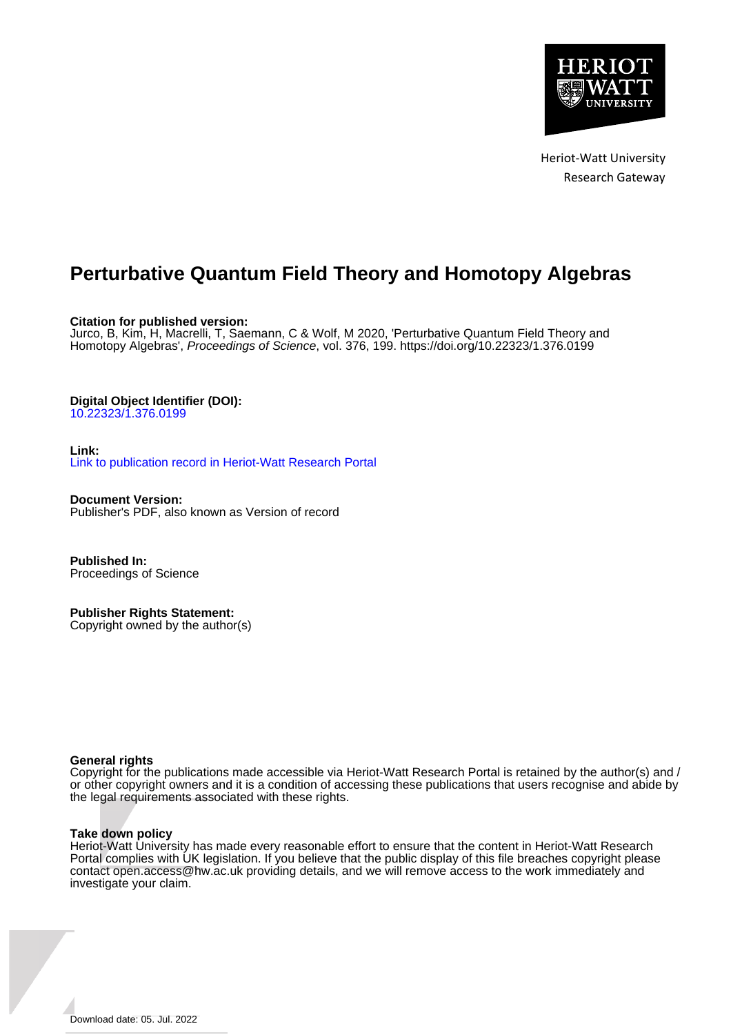

Heriot-Watt University Research Gateway

# **Perturbative Quantum Field Theory and Homotopy Algebras**

**Citation for published version:**

Jurco, B, Kim, H, Macrelli, T, Saemann, C & Wolf, M 2020, 'Perturbative Quantum Field Theory and Homotopy Algebras', Proceedings of Science, vol. 376, 199. <https://doi.org/10.22323/1.376.0199>

# **Digital Object Identifier (DOI):**

[10.22323/1.376.0199](https://doi.org/10.22323/1.376.0199)

**Link:** [Link to publication record in Heriot-Watt Research Portal](https://researchportal.hw.ac.uk/en/publications/dc3b4e35-36f1-4f3d-9adb-92ba83a88cd0)

**Document Version:** Publisher's PDF, also known as Version of record

**Published In:** Proceedings of Science

**Publisher Rights Statement:** Copyright owned by the author(s)

# **General rights**

Copyright for the publications made accessible via Heriot-Watt Research Portal is retained by the author(s) and / or other copyright owners and it is a condition of accessing these publications that users recognise and abide by the legal requirements associated with these rights.

#### **Take down policy**

Heriot-Watt University has made every reasonable effort to ensure that the content in Heriot-Watt Research Portal complies with UK legislation. If you believe that the public display of this file breaches copyright please contact open.access@hw.ac.uk providing details, and we will remove access to the work immediately and investigate your claim.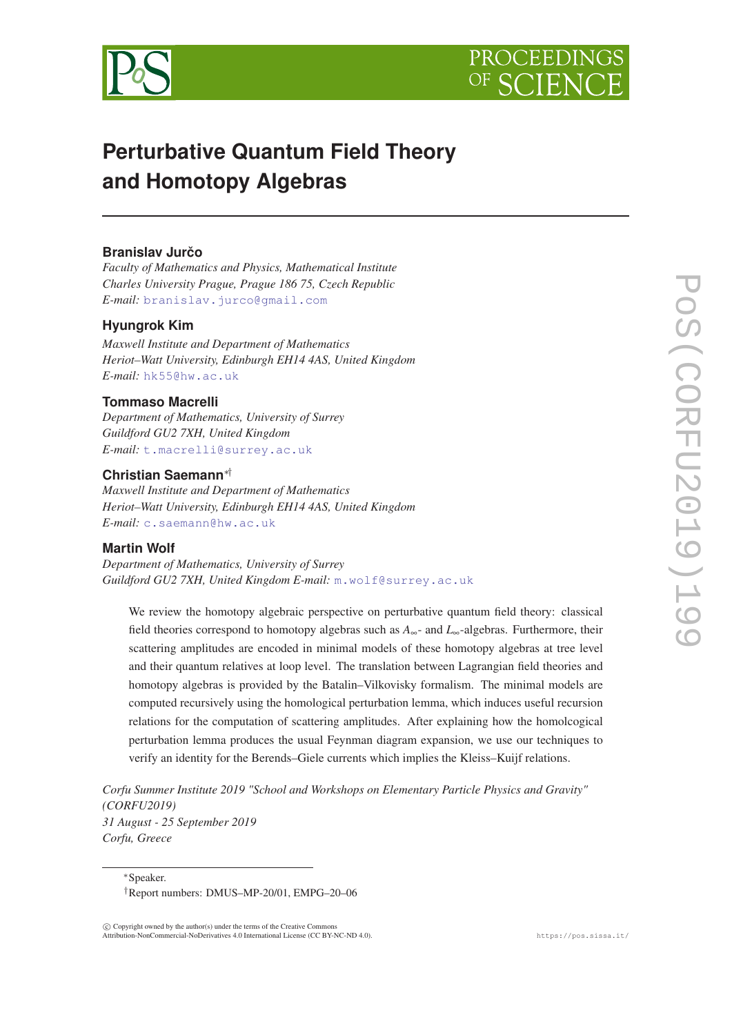



# **Perturbative Quantum Field Theory and Homotopy Algebras**

# **Branislav Jurčo**

*Faculty of Mathematics and Physics, Mathematical Institute Charles University Prague, Prague 186 75, Czech Republic E-mail:* [branislav.jurco@gmail.com](mailto:branislav.jurco@gmail.com)

# **Hyungrok Kim**

*Maxwell Institute and Department of Mathematics Heriot–Watt University, Edinburgh EH14 4AS, United Kingdom E-mail:* [hk55@hw.ac.uk](mailto:hk55@hw.ac.uk)

# **Tommaso Macrelli**

*Department of Mathematics, University of Surrey Guildford GU2 7XH, United Kingdom E-mail:* [t.macrelli@surrey.ac.uk](mailto:t.macrelli@surrey.ac.uk)

# **Christian Saemann**∗†

*Maxwell Institute and Department of Mathematics Heriot–Watt University, Edinburgh EH14 4AS, United Kingdom E-mail:* [c.saemann@hw.ac.uk](mailto:c.saemann@hw.ac.uk)

# **Martin Wolf**

*Department of Mathematics, University of Surrey Guildford GU2 7XH, United Kingdom E-mail:* [m.wolf@surrey.ac.uk](mailto:m.wolf@surrey.ac.uk)

We review the homotopy algebraic perspective on perturbative quantum field theory: classical field theories correspond to homotopy algebras such as *A*∞- and *L*∞-algebras. Furthermore, their scattering amplitudes are encoded in minimal models of these homotopy algebras at tree level and their quantum relatives at loop level. The translation between Lagrangian field theories and homotopy algebras is provided by the Batalin–Vilkovisky formalism. The minimal models are computed recursively using the homological perturbation lemma, which induces useful recursion relations for the computation of scattering amplitudes. After explaining how the homolcogical perturbation lemma produces the usual Feynman diagram expansion, we use our techniques to verify an identity for the Berends–Giele currents which implies the Kleiss–Kuijf relations.

*Corfu Summer Institute 2019 "School and Workshops on Elementary Particle Physics and Gravity" (CORFU2019) 31 August - 25 September 2019 Corfu, Greece*

<sup>∗</sup>Speaker.

 $(C)$  Copyright owned by the author(s) under the terms of the Creative Common Attribution-NonCommercial-NoDerivatives 4.0 International License (CC BY-NC-ND 4.0). https://pos.sissa.it/

<sup>†</sup>Report numbers: DMUS–MP-20/01, EMPG–20–06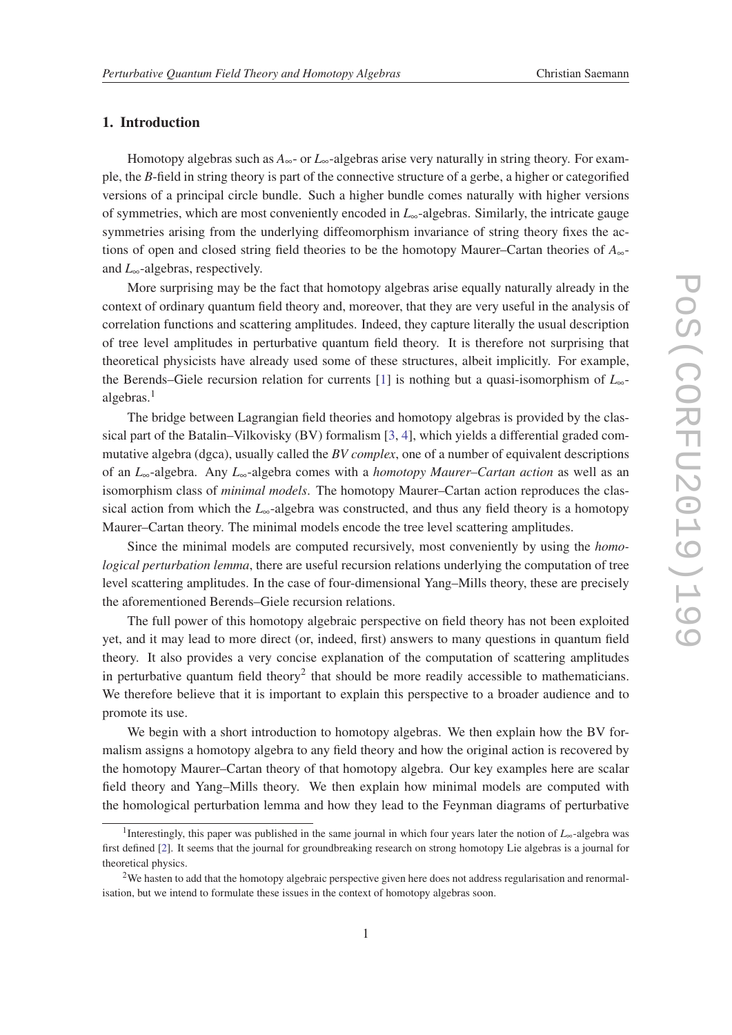# 1. Introduction

Homotopy algebras such as  $A_{\infty}$ - or  $L_{\infty}$ -algebras arise very naturally in string theory. For example, the *B*-field in string theory is part of the connective structure of a gerbe, a higher or categorified versions of a principal circle bundle. Such a higher bundle comes naturally with higher versions of symmetries, which are most conveniently encoded in *L*∞-algebras. Similarly, the intricate gauge symmetries arising from the underlying diffeomorphism invariance of string theory fixes the actions of open and closed string field theories to be the homotopy Maurer–Cartan theories of *A*∞ and *L*∞-algebras, respectively.

More surprising may be the fact that homotopy algebras arise equally naturally already in the context of ordinary quantum field theory and, moreover, that they are very useful in the analysis of correlation functions and scattering amplitudes. Indeed, they capture literally the usual description of tree level amplitudes in perturbative quantum field theory. It is therefore not surprising that theoretical physicists have already used some of these structures, albeit implicitly. For example, the Berends–Giele recursion relation for currents [\[1\]](#page-22-0) is nothing but a quasi-isomorphism of *L*∞ algebras. $<sup>1</sup>$ </sup>

The bridge between Lagrangian field theories and homotopy algebras is provided by the classical part of the Batalin–Vilkovisky (BV) formalism [\[3](#page-22-0), [4](#page-22-0)], which yields a differential graded commutative algebra (dgca), usually called the *BV complex*, one of a number of equivalent descriptions of an *L*∞-algebra. Any *L*∞-algebra comes with a *homotopy Maurer–Cartan action* as well as an isomorphism class of *minimal models*. The homotopy Maurer–Cartan action reproduces the classical action from which the  $L_{\infty}$ -algebra was constructed, and thus any field theory is a homotopy Maurer–Cartan theory. The minimal models encode the tree level scattering amplitudes.

Since the minimal models are computed recursively, most conveniently by using the *homological perturbation lemma*, there are useful recursion relations underlying the computation of tree level scattering amplitudes. In the case of four-dimensional Yang–Mills theory, these are precisely the aforementioned Berends–Giele recursion relations.

The full power of this homotopy algebraic perspective on field theory has not been exploited yet, and it may lead to more direct (or, indeed, first) answers to many questions in quantum field theory. It also provides a very concise explanation of the computation of scattering amplitudes in perturbative quantum field theory<sup>2</sup> that should be more readily accessible to mathematicians. We therefore believe that it is important to explain this perspective to a broader audience and to promote its use.

We begin with a short introduction to homotopy algebras. We then explain how the BV formalism assigns a homotopy algebra to any field theory and how the original action is recovered by the homotopy Maurer–Cartan theory of that homotopy algebra. Our key examples here are scalar field theory and Yang–Mills theory. We then explain how minimal models are computed with the homological perturbation lemma and how they lead to the Feynman diagrams of perturbative

<sup>1</sup> Interestingly, this paper was published in the same journal in which four years later the notion of *L*∞-algebra was first defined [\[2\]](#page-22-0). It seems that the journal for groundbreaking research on strong homotopy Lie algebras is a journal for theoretical physics.

<sup>&</sup>lt;sup>2</sup>We hasten to add that the homotopy algebraic perspective given here does not address regularisation and renormalisation, but we intend to formulate these issues in the context of homotopy algebras soon.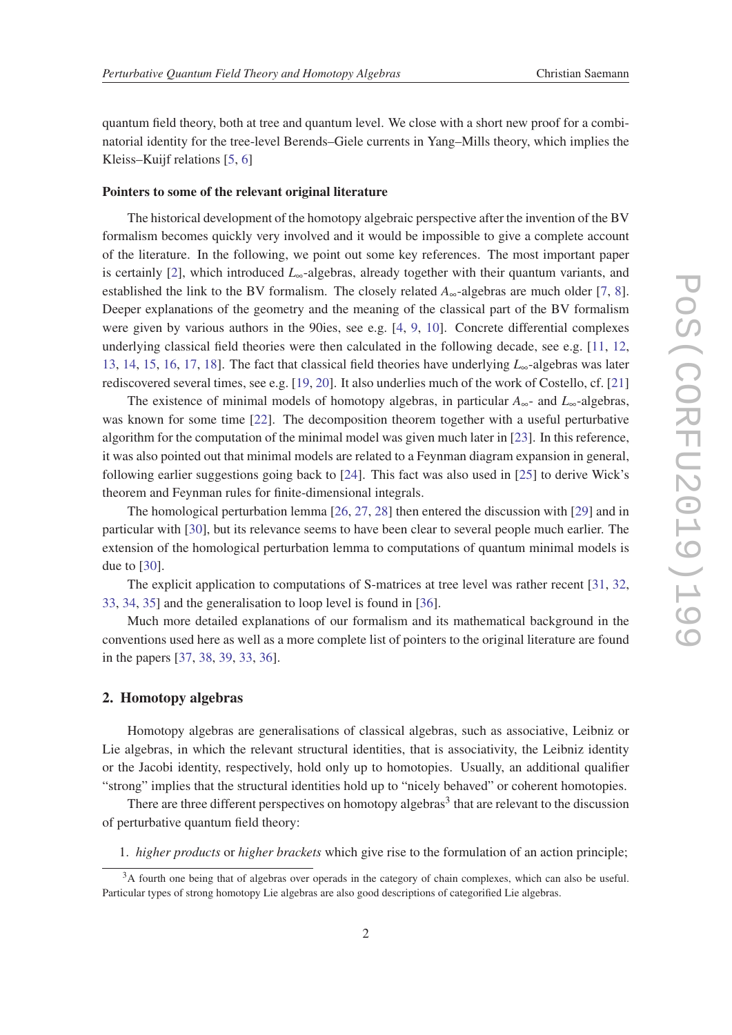quantum field theory, both at tree and quantum level. We close with a short new proof for a combinatorial identity for the tree-level Berends–Giele currents in Yang–Mills theory, which implies the Kleiss–Kuijf relations [[5](#page-23-0), [6\]](#page-23-0)

#### Pointers to some of the relevant original literature

The historical development of the homotopy algebraic perspective after the invention of the BV formalism becomes quickly very involved and it would be impossible to give a complete account of the literature. In the following, we point out some key references. The most important paper is certainly [\[2\]](#page-22-0), which introduced *L*∞-algebras, already together with their quantum variants, and established the link to the BV formalism. The closely related  $A_{\infty}$ -algebras are much older [[7](#page-23-0), [8\]](#page-23-0). Deeper explanations of the geometry and the meaning of the classical part of the BV formalism were given by various authors in the 90ies, see e.g. [[4,](#page-22-0) [9,](#page-23-0) [10](#page-23-0)]. Concrete differential complexes underlying classical field theories were then calculated in the following decade, see e.g.  $[11, 12, 12]$  $[11, 12, 12]$  $[11, 12, 12]$  $[11, 12, 12]$ [13](#page-23-0), [14,](#page-23-0) [15](#page-23-0), [16,](#page-23-0) [17](#page-23-0), [18\]](#page-23-0). The fact that classical field theories have underlying *L*∞-algebras was later rediscovered several times, see e.g. [[19,](#page-23-0) [20\]](#page-23-0). It also underlies much of the work of Costello, cf. [\[21](#page-23-0)]

The existence of minimal models of homotopy algebras, in particular *A*∞- and *L*∞-algebras, was known for some time [[22\]](#page-23-0). The decomposition theorem together with a useful perturbative algorithm for the computation of the minimal model was given much later in [[23\]](#page-23-0). In this reference, it was also pointed out that minimal models are related to a Feynman diagram expansion in general, following earlier suggestions going back to [\[24](#page-23-0)]. This fact was also used in [\[25](#page-24-0)] to derive Wick's theorem and Feynman rules for finite-dimensional integrals.

The homological perturbation lemma [\[26](#page-24-0), [27,](#page-24-0) [28\]](#page-24-0) then entered the discussion with [[29\]](#page-24-0) and in particular with [[30\]](#page-24-0), but its relevance seems to have been clear to several people much earlier. The extension of the homological perturbation lemma to computations of quantum minimal models is due to [[30\]](#page-24-0).

The explicit application to computations of S-matrices at tree level was rather recent [[31,](#page-24-0) [32](#page-24-0), [33](#page-24-0), [34,](#page-24-0) [35\]](#page-24-0) and the generalisation to loop level is found in [[36\]](#page-24-0).

Much more detailed explanations of our formalism and its mathematical background in the conventions used here as well as a more complete list of pointers to the original literature are found in the papers [\[37](#page-24-0), [38,](#page-24-0) [39](#page-24-0), [33](#page-24-0), [36\]](#page-24-0).

# 2. Homotopy algebras

Homotopy algebras are generalisations of classical algebras, such as associative, Leibniz or Lie algebras, in which the relevant structural identities, that is associativity, the Leibniz identity or the Jacobi identity, respectively, hold only up to homotopies. Usually, an additional qualifier "strong" implies that the structural identities hold up to "nicely behaved" or coherent homotopies.

There are three different perspectives on homotopy algebras<sup>3</sup> that are relevant to the discussion of perturbative quantum field theory:

1. *higher products* or *higher brackets* which give rise to the formulation of an action principle;

<sup>&</sup>lt;sup>3</sup>A fourth one being that of algebras over operads in the category of chain complexes, which can also be useful. Particular types of strong homotopy Lie algebras are also good descriptions of categorified Lie algebras.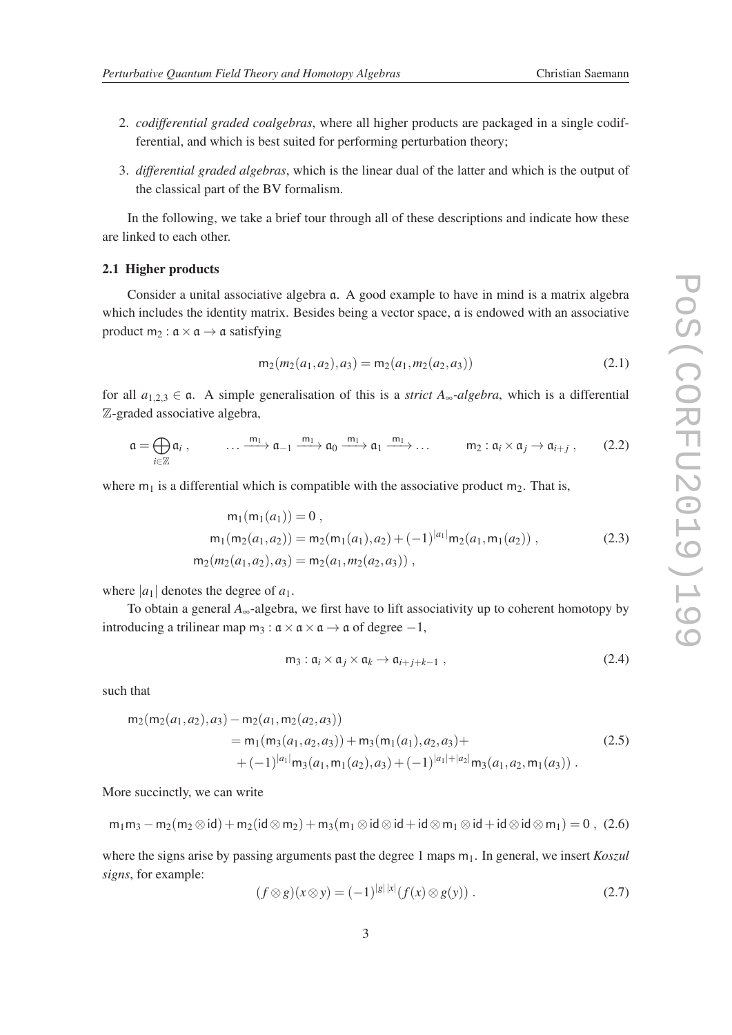- 
- 2. *codifferential graded coalgebras*, where all higher products are packaged in a single codifferential, and which is best suited for performing perturbation theory;
- 3. *differential graded algebras*, which is the linear dual of the latter and which is the output of the classical part of the BV formalism.

In the following, we take a brief tour through all of these descriptions and indicate how these are linked to each other.

### 2.1 Higher products

Consider a unital associative algebra a. A good example to have in mind is a matrix algebra which includes the identity matrix. Besides being a vector space,  $\alpha$  is endowed with an associative product  $m_2 : \mathfrak{a} \times \mathfrak{a} \rightarrow \mathfrak{a}$  satisfying

$$
m_2(m_2(a_1, a_2), a_3) = m_2(a_1, m_2(a_2, a_3))
$$
\n(2.1)

for all  $a_{1,2,3} \in \mathfrak{a}$ . A simple generalisation of this is a *strict*  $A_{\infty}$ -algebra, which is a differential Z-graded associative algebra,

$$
\mathfrak{a} = \bigoplus_{i \in \mathbb{Z}} \mathfrak{a}_i , \qquad \dots \xrightarrow{m_1} \mathfrak{a}_{-1} \xrightarrow{m_1} \mathfrak{a}_0 \xrightarrow{m_1} \mathfrak{a}_1 \xrightarrow{m_1} \dots \qquad m_2 : \mathfrak{a}_i \times \mathfrak{a}_j \to \mathfrak{a}_{i+j} , \qquad (2.2)
$$

where  $m_1$  is a differential which is compatible with the associative product  $m_2$ . That is,

$$
m_1(m_1(a_1)) = 0,
$$
  
\n
$$
m_1(m_2(a_1, a_2)) = m_2(m_1(a_1), a_2) + (-1)^{|a_1|} m_2(a_1, m_1(a_2)),
$$
  
\n
$$
m_2(m_2(a_1, a_2), a_3) = m_2(a_1, m_2(a_2, a_3)),
$$
\n(2.3)

where  $|a_1|$  denotes the degree of  $a_1$ .

To obtain a general *A*∞-algebra, we first have to lift associativity up to coherent homotopy by introducing a trilinear map m<sub>3</sub> :  $a \times a \times a \rightarrow a$  of degree -1,

$$
m_3: \mathfrak{a}_i \times \mathfrak{a}_j \times \mathfrak{a}_k \to \mathfrak{a}_{i+j+k-1} , \qquad (2.4)
$$

such that

$$
m_2(m_2(a_1, a_2), a_3) - m_2(a_1, m_2(a_2, a_3))
$$
  
=  $m_1(m_3(a_1, a_2, a_3)) + m_3(m_1(a_1), a_2, a_3) +$   
+  $(-1)^{|a_1|} m_3(a_1, m_1(a_2), a_3) + (-1)^{|a_1| + |a_2|} m_3(a_1, a_2, m_1(a_3))$ . (2.5)

More succinctly, we can write

$$
m_1m_3-m_2(m_2\otimes id)+m_2(id\otimes m_2)+m_3(m_1\otimes id\otimes id+i d\otimes m_1\otimes id+i d\otimes id\otimes m_1)=0\ ,\ (2.6)
$$

where the signs arise by passing arguments past the degree 1 maps  $m_1$ . In general, we insert *Koszul signs*, for example: |*g*||*x*|

$$
(f \otimes g)(x \otimes y) = (-1)^{|g||x|} (f(x) \otimes g(y)). \tag{2.7}
$$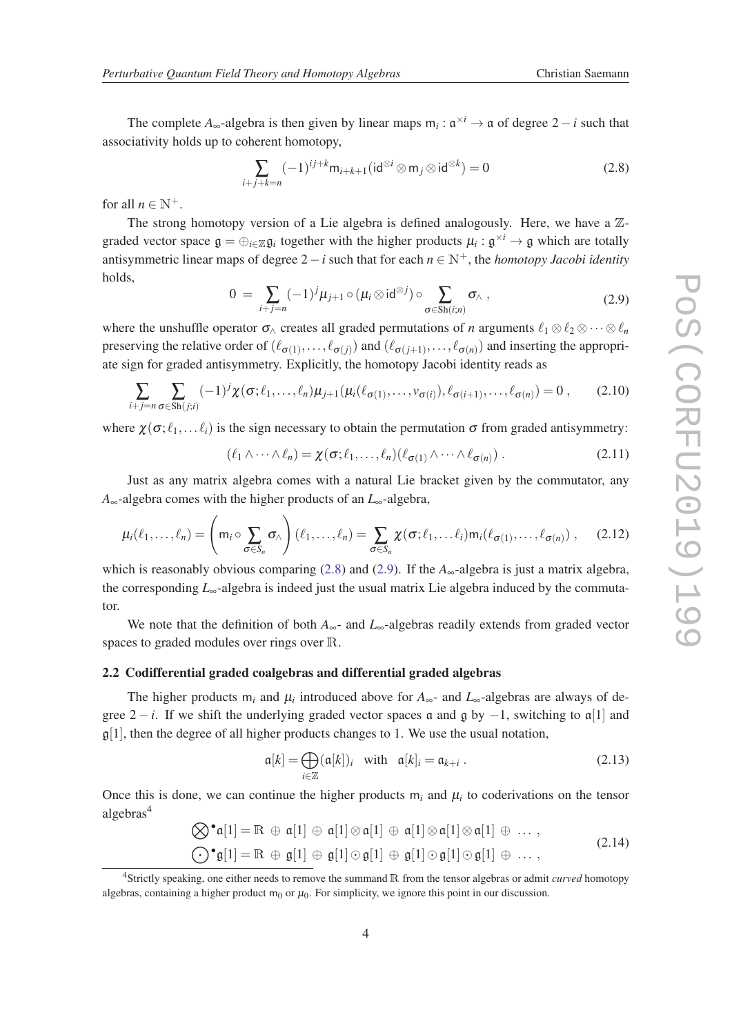<span id="page-5-0"></span>The complete  $A_{\infty}$ -algebra is then given by linear maps  $m_i : \mathfrak{a}^{\times i} \to \mathfrak{a}$  of degree 2 − *i* such that associativity holds up to coherent homotopy,

$$
\sum_{i+j+k=n}(-1)^{ij+k}m_{i+k+1}(\mathrm{id}^{\otimes i}\otimes m_j\otimes\mathrm{id}^{\otimes k})=0\tag{2.8}
$$

for all  $n \in \mathbb{N}^+$ .

The strong homotopy version of a Lie algebra is defined analogously. Here, we have a  $\mathbb{Z}$ graded vector space  $g = \bigoplus_{i \in \mathbb{Z}} g_i$  together with the higher products  $\mu_i : g^{\times i} \to g$  which are totally antisymmetric linear maps of degree  $2-i$  such that for each  $n \in \mathbb{N}^+$ , the *homotopy Jacobi identity* holds,

$$
0 = \sum_{i+j=n} (-1)^j \mu_{j+1} \circ (\mu_i \otimes \mathrm{id}^{\otimes j}) \circ \sum_{\sigma \in Sh(i;n)} \sigma_{\wedge} , \qquad (2.9)
$$

where the unshuffle operator  $\sigma_{\Lambda}$  creates all graded permutations of *n* arguments  $\ell_1 \otimes \ell_2 \otimes \cdots \otimes \ell_n$ preserving the relative order of  $(\ell_{\sigma(1)},...,\ell_{\sigma(j)})$  and  $(\ell_{\sigma(j+1)},...,\ell_{\sigma(n)})$  and inserting the appropriate sign for graded antisymmetry. Explicitly, the homotopy Jacobi identity reads as

$$
\sum_{i+j=n} \sum_{\sigma \in Sh(j;i)} (-1)^j \chi(\sigma;\ell_1,\ldots,\ell_n) \mu_{j+1}(\mu_i(\ell_{\sigma(1)},\ldots,\nu_{\sigma(i)}),\ell_{\sigma(i+1)},\ldots,\ell_{\sigma(n)}) = 0 ,\qquad(2.10)
$$

where  $\chi(\sigma; \ell_1, \ldots \ell_i)$  is the sign necessary to obtain the permutation  $\sigma$  from graded antisymmetry:

$$
(\ell_1 \wedge \cdots \wedge \ell_n) = \chi(\sigma; \ell_1, \ldots, \ell_n) (\ell_{\sigma(1)} \wedge \cdots \wedge \ell_{\sigma(n)}) . \tag{2.11}
$$

Just as any matrix algebra comes with a natural Lie bracket given by the commutator, any *A*∞-algebra comes with the higher products of an *L*∞-algebra,

$$
\mu_i(\ell_1,\ldots,\ell_n) = \left(m_i \circ \sum_{\sigma \in S_n} \sigma_\wedge\right)(\ell_1,\ldots,\ell_n) = \sum_{\sigma \in S_n} \chi(\sigma;\ell_1,\ldots\ell_i) m_i(\ell_{\sigma(1)},\ldots,\ell_{\sigma(n)}) ,\qquad(2.12)
$$

which is reasonably obvious comparing (2.8) and (2.9). If the *A*∞-algebra is just a matrix algebra, the corresponding *L*∞-algebra is indeed just the usual matrix Lie algebra induced by the commutator.

We note that the definition of both *A*<sub>∞</sub>- and *L*<sub>∞</sub>-algebras readily extends from graded vector spaces to graded modules over rings over R.

### 2.2 Codifferential graded coalgebras and differential graded algebras

The higher products  $m_i$  and  $\mu_i$  introduced above for  $A_\infty$ - and  $L_\infty$ -algebras are always of degree  $2 - i$ . If we shift the underlying graded vector spaces a and g by  $-1$ , switching to a[1] and  $\mathfrak{g}[1]$ , then the degree of all higher products changes to 1. We use the usual notation,

$$
\mathfrak{a}[k] = \bigoplus_{i \in \mathbb{Z}} (\mathfrak{a}[k])_i \quad \text{with} \quad \mathfrak{a}[k]_i = \mathfrak{a}_{k+i} \ . \tag{2.13}
$$

Once this is done, we can continue the higher products  $m_i$  and  $\mu_i$  to coderivations on the tensor algebras<sup>4</sup>

$$
\bigotimes^{\bullet} \mathfrak{a}[1] = \mathbb{R} \oplus \mathfrak{a}[1] \oplus \mathfrak{a}[1] \otimes \mathfrak{a}[1] \oplus \mathfrak{a}[1] \otimes \mathfrak{a}[1] \oplus \dots,
$$
  

$$
\bigodot^{\bullet} \mathfrak{g}[1] = \mathbb{R} \oplus \mathfrak{g}[1] \oplus \mathfrak{g}[1] \odot \mathfrak{g}[1] \oplus \mathfrak{g}[1] \odot \mathfrak{g}[1] \oplus \dots,
$$
  
(2.14)

<sup>4</sup>Strictly speaking, one either needs to remove the summand R from the tensor algebras or admit *curved* homotopy algebras, containing a higher product  $m_0$  or  $\mu_0$ . For simplicity, we ignore this point in our discussion.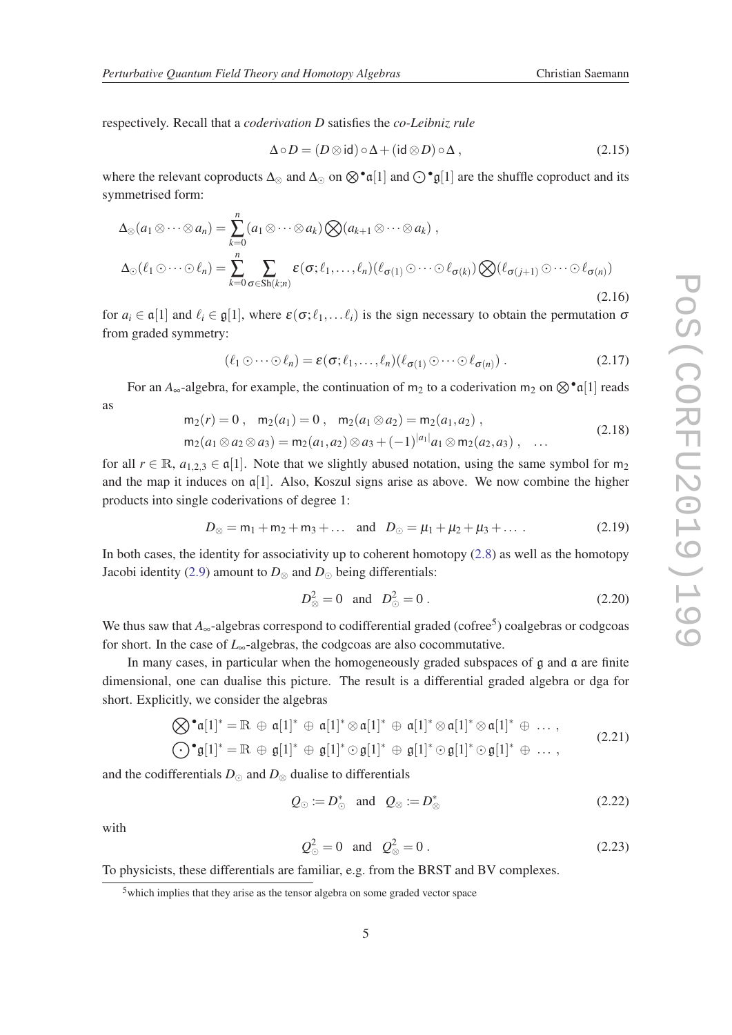<span id="page-6-0"></span>respectively. Recall that a *coderivation D* satisfies the *co-Leibniz rule*

$$
\Delta \circ D = (D \otimes \text{id}) \circ \Delta + (\text{id} \otimes D) \circ \Delta , \qquad (2.15)
$$

where the relevant coproducts  $\Delta_{\otimes}$  and  $\Delta_{\odot}$  on  $\otimes^{\bullet} \mathfrak{a}[1]$  and  $\odot^{\bullet} \mathfrak{g}[1]$  are the shuffle coproduct and its symmetrised form:

$$
\Delta_{\otimes}(a_1 \otimes \cdots \otimes a_n) = \sum_{k=0}^n (a_1 \otimes \cdots \otimes a_k) \bigotimes (a_{k+1} \otimes \cdots \otimes a_k),
$$
  

$$
\Delta_{\odot}(\ell_1 \odot \cdots \odot \ell_n) = \sum_{k=0}^n \sum_{\sigma \in Sh(k;n)} \varepsilon(\sigma;\ell_1,\ldots,\ell_n) (\ell_{\sigma(1)} \odot \cdots \odot \ell_{\sigma(k)}) \bigotimes (\ell_{\sigma(j+1)} \odot \cdots \odot \ell_{\sigma(n)})
$$
(2.16)

for  $a_i \in \mathfrak{a}[1]$  and  $\ell_i \in \mathfrak{g}[1]$ , where  $\varepsilon(\sigma; \ell_1, \ldots \ell_i)$  is the sign necessary to obtain the permutation  $\sigma$ from graded symmetry:

$$
(\ell_1 \odot \cdots \odot \ell_n) = \varepsilon(\sigma; \ell_1, \ldots, \ell_n) (\ell_{\sigma(1)} \odot \cdots \odot \ell_{\sigma(n)}) . \tag{2.17}
$$

For an  $A_{\infty}$ -algebra, for example, the continuation of m<sub>2</sub> to a coderivation m<sub>2</sub> on  $\otimes^{\bullet} \alpha[1]$  reads as

$$
m_2(r) = 0, \quad m_2(a_1) = 0, \quad m_2(a_1 \otimes a_2) = m_2(a_1, a_2),
$$
  
\n
$$
m_2(a_1 \otimes a_2 \otimes a_3) = m_2(a_1, a_2) \otimes a_3 + (-1)^{|a_1|} a_1 \otimes m_2(a_2, a_3), \quad \dots
$$
\n(2.18)

for all  $r \in \mathbb{R}$ ,  $a_{1,2,3} \in \mathfrak{a}[1]$ . Note that we slightly abused notation, using the same symbol for m<sub>2</sub> and the map it induces on  $\alpha$ [1]. Also, Koszul signs arise as above. We now combine the higher products into single coderivations of degree 1:

$$
D_{\otimes} = m_1 + m_2 + m_3 + \dots \text{ and } D_{\odot} = \mu_1 + \mu_2 + \mu_3 + \dots \tag{2.19}
$$

In both cases, the identity for associativity up to coherent homotopy  $(2.8)$  $(2.8)$  as well as the homotopy Jacobi identity ([2.9](#page-5-0)) amount to  $D_{\otimes}$  and  $D_{\odot}$  being differentials:

$$
D_{\otimes}^2 = 0 \text{ and } D_{\odot}^2 = 0. \tag{2.20}
$$

We thus saw that  $A_{\infty}$ -algebras correspond to codifferential graded (cofree<sup>5</sup>) coalgebras or codgcoas for short. In the case of  $L_{\infty}$ -algebras, the codgcoas are also cocommutative.

In many cases, in particular when the homogeneously graded subspaces of g and a are finite dimensional, one can dualise this picture. The result is a differential graded algebra or dga for short. Explicitly, we consider the algebras

$$
\bigotimes^{\bullet} \mathfrak{a}[1]^* = \mathbb{R} \oplus \mathfrak{a}[1]^* \oplus \mathfrak{a}[1]^* \otimes \mathfrak{a}[1]^* \oplus \mathfrak{a}[1]^* \otimes \mathfrak{a}[1]^* \otimes \mathfrak{a}[1]^* \oplus \dots,
$$
  

$$
\bigodot^{\bullet} \mathfrak{g}[1]^* = \mathbb{R} \oplus \mathfrak{g}[1]^* \oplus \mathfrak{g}[1]^* \oplus \mathfrak{g}[1]^* \oplus \mathfrak{g}[1]^* \oplus \mathfrak{g}[1]^* \oplus \dots,
$$
  
(2.21)

and the codifferentials  $D_{\odot}$  and  $D_{\otimes}$  dualise to differentials

$$
Q_{\odot} := D_{\odot}^* \quad \text{and} \quad Q_{\otimes} := D_{\otimes}^* \tag{2.22}
$$

with

$$
Q_{\odot}^2 = 0
$$
 and  $Q_{\otimes}^2 = 0$ . (2.23)

To physicists, these differentials are familiar, e.g. from the BRST and BV complexes.

<sup>5</sup>which implies that they arise as the tensor algebra on some graded vector space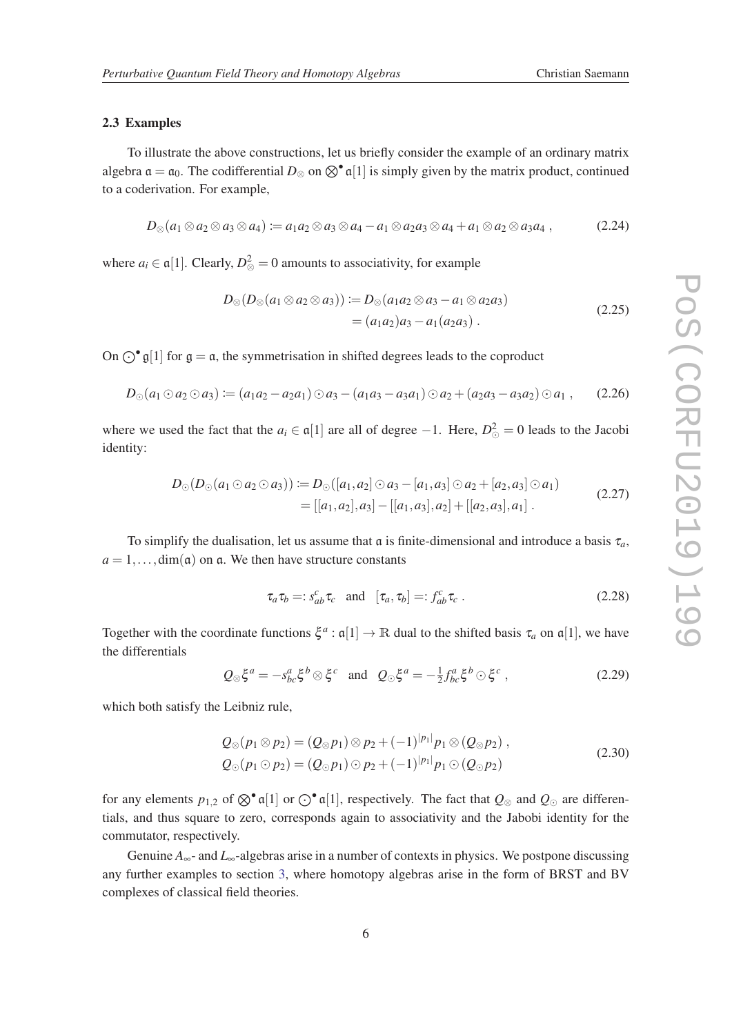#### 2.3 Examples

To illustrate the above constructions, let us briefly consider the example of an ordinary matrix algebra  $\mathfrak{a} = \mathfrak{a}_0$ . The codifferential  $D_{\otimes}$  on  $\otimes^{\bullet} \mathfrak{a}[1]$  is simply given by the matrix product, continued to a coderivation. For example,

$$
D_{\otimes}(a_1 \otimes a_2 \otimes a_3 \otimes a_4) \coloneqq a_1 a_2 \otimes a_3 \otimes a_4 - a_1 \otimes a_2 a_3 \otimes a_4 + a_1 \otimes a_2 \otimes a_3 a_4 , \qquad (2.24)
$$

where  $a_i \in \mathfrak{a}[1]$ . Clearly,  $D^2_{\otimes} = 0$  amounts to associativity, for example

$$
D_{\otimes}(D_{\otimes}(a_1 \otimes a_2 \otimes a_3)) \coloneqq D_{\otimes}(a_1 a_2 \otimes a_3 - a_1 \otimes a_2 a_3)
$$
  
=  $(a_1 a_2) a_3 - a_1 (a_2 a_3)$ . (2.25)

On  $\bigcirc^{\bullet} \mathfrak{g}[1]$  for  $\mathfrak{g} = \mathfrak{a}$ , the symmetrisation in shifted degrees leads to the coproduct

$$
D_{\odot}(a_1 \odot a_2 \odot a_3) := (a_1a_2 - a_2a_1) \odot a_3 - (a_1a_3 - a_3a_1) \odot a_2 + (a_2a_3 - a_3a_2) \odot a_1, \qquad (2.26)
$$

where we used the fact that the  $a_i \in \mathfrak{a}[1]$  are all of degree  $-1$ . Here,  $D^2_{\odot} = 0$  leads to the Jacobi identity:

$$
D_{\odot}(D_{\odot}(a_1 \odot a_2 \odot a_3)) := D_{\odot}([a_1, a_2] \odot a_3 - [a_1, a_3] \odot a_2 + [a_2, a_3] \odot a_1)
$$
  
= [[a\_1, a\_2], a\_3] - [[a\_1, a\_3], a\_2] + [[a\_2, a\_3], a\_1]. (2.27)

To simplify the dualisation, let us assume that  $\alpha$  is finite-dimensional and introduce a basis  $\tau_a$ ,  $a = 1, \ldots, \text{dim}(a)$  on a. We then have structure constants

$$
\tau_a \tau_b =: s_{ab}^c \tau_c \quad \text{and} \quad [\tau_a, \tau_b] =: f_{ab}^c \tau_c \ . \tag{2.28}
$$

Together with the coordinate functions  $\xi^a : \mathfrak{a}[1] \to \mathbb{R}$  dual to the shifted basis  $\tau_a$  on  $\mathfrak{a}[1]$ , we have the differentials

$$
Q_{\otimes} \xi^{a} = -s_{bc}^{a} \xi^{b} \otimes \xi^{c} \quad \text{and} \quad Q_{\odot} \xi^{a} = -\frac{1}{2} f_{bc}^{a} \xi^{b} \odot \xi^{c} \,, \tag{2.29}
$$

which both satisfy the Leibniz rule,

$$
Q_{\otimes}(p_1 \otimes p_2) = (Q_{\otimes}p_1) \otimes p_2 + (-1)^{|p_1|} p_1 \otimes (Q_{\otimes}p_2) ,Q_{\odot}(p_1 \odot p_2) = (Q_{\odot}p_1) \odot p_2 + (-1)^{|p_1|} p_1 \odot (Q_{\odot}p_2)
$$
 (2.30)

for any elements  $p_{1,2}$  of  $\otimes^{\bullet} \mathfrak{a}[1]$  or  $\odot^{\bullet} \mathfrak{a}[1]$ , respectively. The fact that  $Q_{\otimes}$  and  $Q_{\odot}$  are differentials, and thus square to zero, corresponds again to associativity and the Jabobi identity for the commutator, respectively.

Genuine *A*∞- and *L*∞-algebras arise in a number of contexts in physics. We postpone discussing any further examples to section [3](#page-8-0), where homotopy algebras arise in the form of BRST and BV complexes of classical field theories.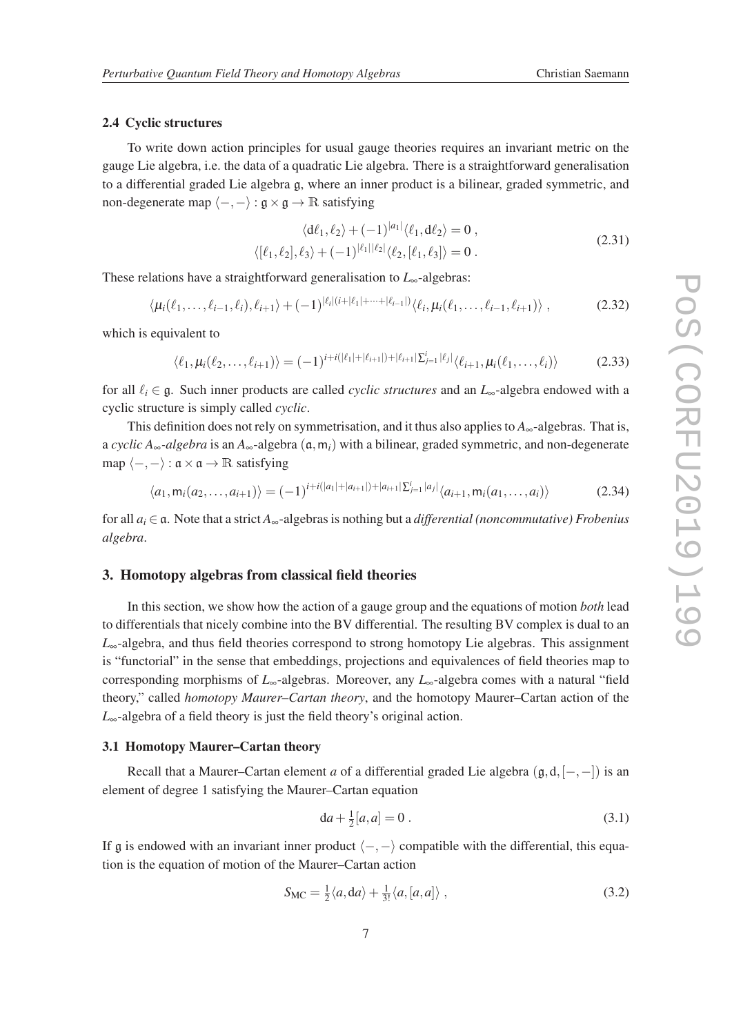#### <span id="page-8-0"></span>2.4 Cyclic structures

To write down action principles for usual gauge theories requires an invariant metric on the gauge Lie algebra, i.e. the data of a quadratic Lie algebra. There is a straightforward generalisation to a differential graded Lie algebra g, where an inner product is a bilinear, graded symmetric, and non-degenerate map  $\langle -, - \rangle : \mathfrak{g} \times \mathfrak{g} \to \mathbb{R}$  satisfying

$$
\langle \mathrm{d}\ell_1, \ell_2 \rangle + (-1)^{|a_1|} \langle \ell_1, \mathrm{d}\ell_2 \rangle = 0 ,
$$
  

$$
\langle [\ell_1, \ell_2], \ell_3 \rangle + (-1)^{| \ell_1 | | \ell_2 |} \langle \ell_2, [\ell_1, \ell_3] \rangle = 0 .
$$
 (2.31)

These relations have a straightforward generalisation to *L*∞-algebras:

 $\langle \mu_i(\ell_1,\ldots,\ell_{i-1},\ell_i), \ell_{i+1} \rangle + (-1)^{|\ell_i|(i+|\ell_1|+\cdots+|\ell_{i-1}|)} \langle \ell_i, \mu_i(\ell_1,\ldots,\ell_{i-1},\ell_{i+1}) \rangle$ , (2.32)

which is equivalent to

$$
\langle \ell_1, \mu_i(\ell_2, \dots, \ell_{i+1}) \rangle = (-1)^{i + i(|\ell_1| + |\ell_{i+1}|) + |\ell_{i+1}|} \Sigma_{j=1}^i |\ell_j| \langle \ell_{i+1}, \mu_i(\ell_1, \dots, \ell_i) \rangle \tag{2.33}
$$

for all `*<sup>i</sup>* ∈ g. Such inner products are called *cyclic structures* and an *L*∞-algebra endowed with a cyclic structure is simply called *cyclic*.

This definition does not rely on symmetrisation, and it thus also applies to  $A_{\infty}$ -algebras. That is, a *cyclic*  $A_\infty$ -*algebra* is an  $A_\infty$ -algebra  $(a, m_i)$  with a bilinear, graded symmetric, and non-degenerate map  $\langle -, - \rangle : \mathfrak{a} \times \mathfrak{a} \to \mathbb{R}$  satisfying

$$
\langle a_1, m_i(a_2,...,a_{i+1}) \rangle = (-1)^{i+i(|a_1|+|a_{i+1}|)+|a_{i+1}|} \sum_{j=1}^i |a_j| \langle a_{i+1}, m_i(a_1,...,a_i) \rangle \tag{2.34}
$$

for all *a<sup>i</sup>* ∈ a. Note that a strict *A*∞-algebras is nothing but a *differential (noncommutative) Frobenius algebra*.

#### 3. Homotopy algebras from classical field theories

In this section, we show how the action of a gauge group and the equations of motion *both* lead to differentials that nicely combine into the BV differential. The resulting BV complex is dual to an *L*∞-algebra, and thus field theories correspond to strong homotopy Lie algebras. This assignment is "functorial" in the sense that embeddings, projections and equivalences of field theories map to corresponding morphisms of *L*∞-algebras. Moreover, any *L*∞-algebra comes with a natural "field theory," called *homotopy Maurer–Cartan theory*, and the homotopy Maurer–Cartan action of the *L*∞-algebra of a field theory is just the field theory's original action.

# 3.1 Homotopy Maurer–Cartan theory

Recall that a Maurer–Cartan element *a* of a differential graded Lie algebra (g,d,[−,−]) is an element of degree 1 satisfying the Maurer–Cartan equation

$$
da + \frac{1}{2}[a, a] = 0.
$$
 (3.1)

If g is endowed with an invariant inner product  $\langle -, - \rangle$  compatible with the differential, this equation is the equation of motion of the Maurer–Cartan action

$$
S_{\rm MC} = \frac{1}{2} \langle a, da \rangle + \frac{1}{3!} \langle a, [a, a] \rangle \;, \tag{3.2}
$$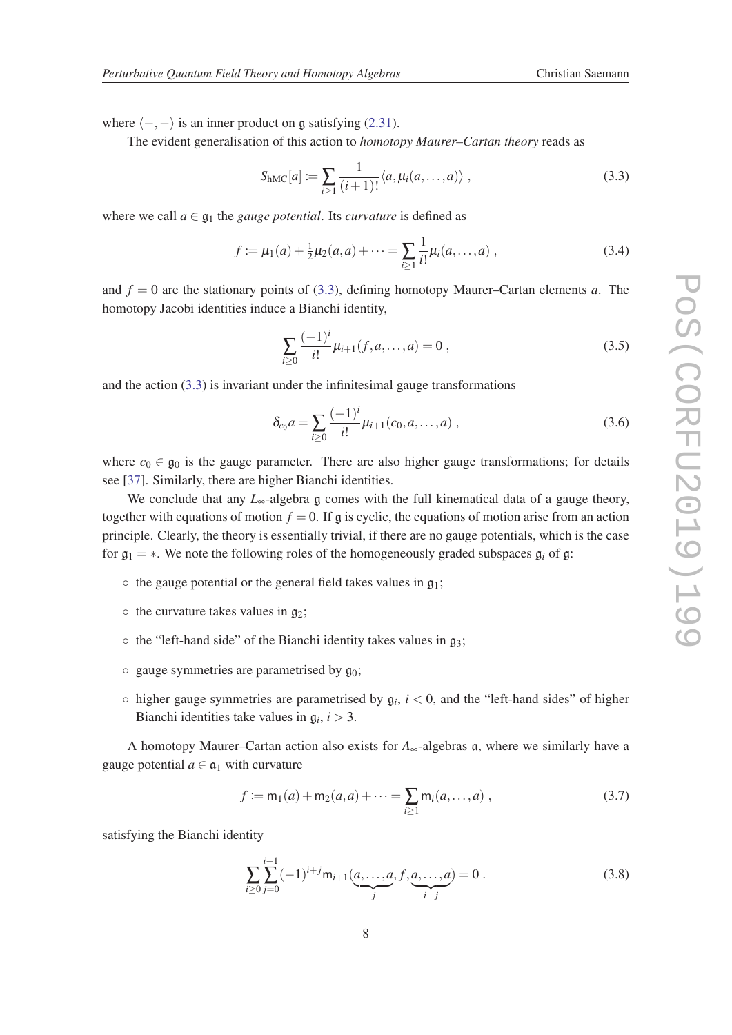where  $\langle -, - \rangle$  is an inner product on g satisfying ([2.31](#page-8-0)).

The evident generalisation of this action to *homotopy Maurer–Cartan theory* reads as

$$
S_{\text{hMC}}[a] := \sum_{i \ge 1} \frac{1}{(i+1)!} \langle a, \mu_i(a, \dots, a) \rangle , \qquad (3.3)
$$

where we call  $a \in \mathfrak{g}_1$  the *gauge potential*. Its *curvature* is defined as

$$
f := \mu_1(a) + \frac{1}{2}\mu_2(a, a) + \dots = \sum_{i \ge 1} \frac{1}{i!} \mu_i(a, \dots, a) , \tag{3.4}
$$

and  $f = 0$  are the stationary points of (3.3), defining homotopy Maurer–Cartan elements *a*. The homotopy Jacobi identities induce a Bianchi identity,

$$
\sum_{i\geq 0} \frac{(-1)^i}{i!} \mu_{i+1}(f, a, \dots, a) = 0 , \qquad (3.5)
$$

and the action (3.3) is invariant under the infinitesimal gauge transformations

$$
\delta_{c_0} a = \sum_{i \ge 0} \frac{(-1)^i}{i!} \mu_{i+1}(c_0, a, \dots, a) , \qquad (3.6)
$$

where  $c_0 \in \mathfrak{g}_0$  is the gauge parameter. There are also higher gauge transformations; for details see [[37\]](#page-24-0). Similarly, there are higher Bianchi identities.

We conclude that any  $L_{\infty}$ -algebra g comes with the full kinematical data of a gauge theory, together with equations of motion  $f = 0$ . If g is cyclic, the equations of motion arise from an action principle. Clearly, the theory is essentially trivial, if there are no gauge potentials, which is the case for  $\mathfrak{g}_1 = *$ . We note the following roles of the homogeneously graded subspaces  $\mathfrak{g}_i$  of  $\mathfrak{g}$ :

- $\circ$  the gauge potential or the general field takes values in  $g_1$ ;
- $\circ$  the curvature takes values in  $g_2$ ;
- $\circ$  the "left-hand side" of the Bianchi identity takes values in  $g_3$ ;
- $\circ$  gauge symmetries are parametrised by  $g_0$ ;
- $\circ$  higher gauge symmetries are parametrised by  $\mathfrak{g}_i$ ,  $i < 0$ , and the "left-hand sides" of higher Bianchi identities take values in  $\mathfrak{g}_i$ ,  $i > 3$ .

A homotopy Maurer–Cartan action also exists for  $A_{\infty}$ -algebras a, where we similarly have a gauge potential  $a \in \mathfrak{a}_1$  with curvature

$$
f := m_1(a) + m_2(a, a) + \dots = \sum_{i \ge 1} m_i(a, \dots, a) , \qquad (3.7)
$$

satisfying the Bianchi identity

$$
\sum_{i\geq 0} \sum_{j=0}^{i-1} (-1)^{i+j} \mathsf{m}_{i+1}(\underbrace{a,\ldots,a}_{j},f,\underbrace{a,\ldots,a}_{i-j}) = 0.
$$
 (3.8)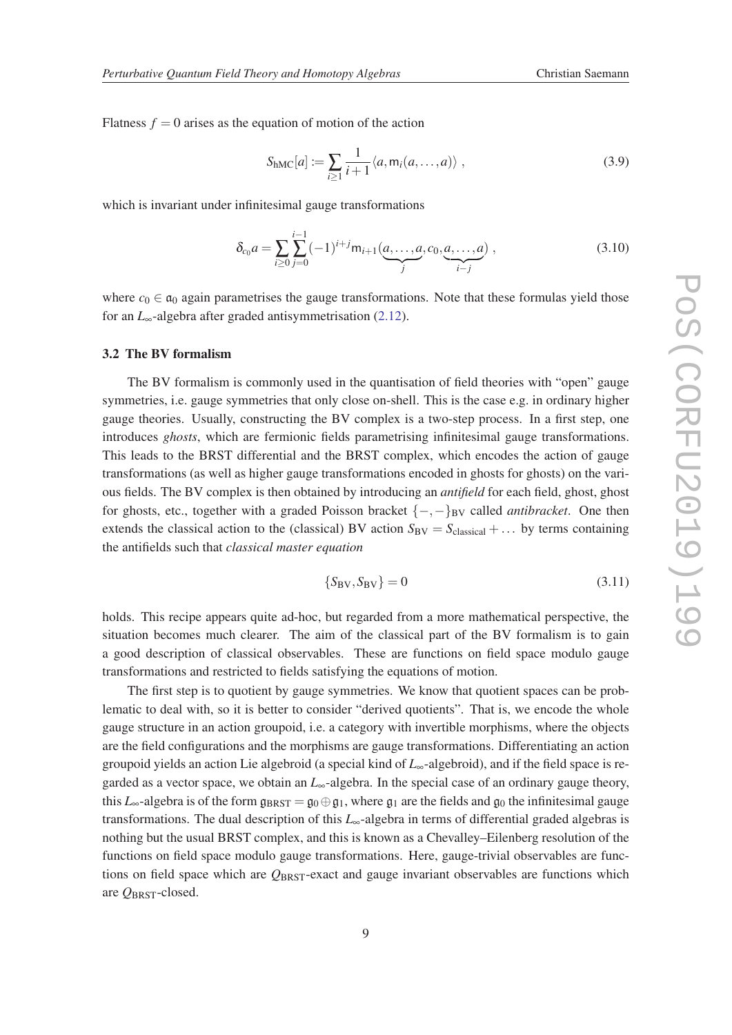<span id="page-10-0"></span>Flatness  $f = 0$  arises as the equation of motion of the action

$$
S_{\text{hMC}}[a] := \sum_{i \ge 1} \frac{1}{i+1} \langle a, m_i(a, \dots, a) \rangle , \qquad (3.9)
$$

which is invariant under infinitesimal gauge transformations

$$
\delta_{c_0} a = \sum_{i \ge 0} \sum_{j=0}^{i-1} (-1)^{i+j} m_{i+1}(\underbrace{a, \dots, a}_{j}, c_0, \underbrace{a, \dots, a}_{i-j}) , \qquad (3.10)
$$

where  $c_0 \in \mathfrak{a}_0$  again parametrises the gauge transformations. Note that these formulas yield those for an *L*∞-algebra after graded antisymmetrisation ([2.12\)](#page-5-0).

#### 3.2 The BV formalism

The BV formalism is commonly used in the quantisation of field theories with "open" gauge symmetries, i.e. gauge symmetries that only close on-shell. This is the case e.g. in ordinary higher gauge theories. Usually, constructing the BV complex is a two-step process. In a first step, one introduces *ghosts*, which are fermionic fields parametrising infinitesimal gauge transformations. This leads to the BRST differential and the BRST complex, which encodes the action of gauge transformations (as well as higher gauge transformations encoded in ghosts for ghosts) on the various fields. The BV complex is then obtained by introducing an *antifield* for each field, ghost, ghost for ghosts, etc., together with a graded Poisson bracket {−,−}BV called *antibracket*. One then extends the classical action to the (classical) BV action  $S_{BV} = S_{classical} + ...$  by terms containing the antifields such that *classical master equation*

$$
\{S_{\rm BV}, S_{\rm BV}\} = 0\tag{3.11}
$$

holds. This recipe appears quite ad-hoc, but regarded from a more mathematical perspective, the situation becomes much clearer. The aim of the classical part of the BV formalism is to gain a good description of classical observables. These are functions on field space modulo gauge transformations and restricted to fields satisfying the equations of motion.

The first step is to quotient by gauge symmetries. We know that quotient spaces can be problematic to deal with, so it is better to consider "derived quotients". That is, we encode the whole gauge structure in an action groupoid, i.e. a category with invertible morphisms, where the objects are the field configurations and the morphisms are gauge transformations. Differentiating an action groupoid yields an action Lie algebroid (a special kind of *L*∞-algebroid), and if the field space is regarded as a vector space, we obtain an *L*∞-algebra. In the special case of an ordinary gauge theory, this *L*<sub>∞</sub>-algebra is of the form  $g_{BRST} = g_0 \oplus g_1$ , where  $g_1$  are the fields and  $g_0$  the infinitesimal gauge transformations. The dual description of this *L*∞-algebra in terms of differential graded algebras is nothing but the usual BRST complex, and this is known as a Chevalley–Eilenberg resolution of the functions on field space modulo gauge transformations. Here, gauge-trivial observables are functions on field space which are *Q*BRST-exact and gauge invariant observables are functions which are *Q*BRST-closed.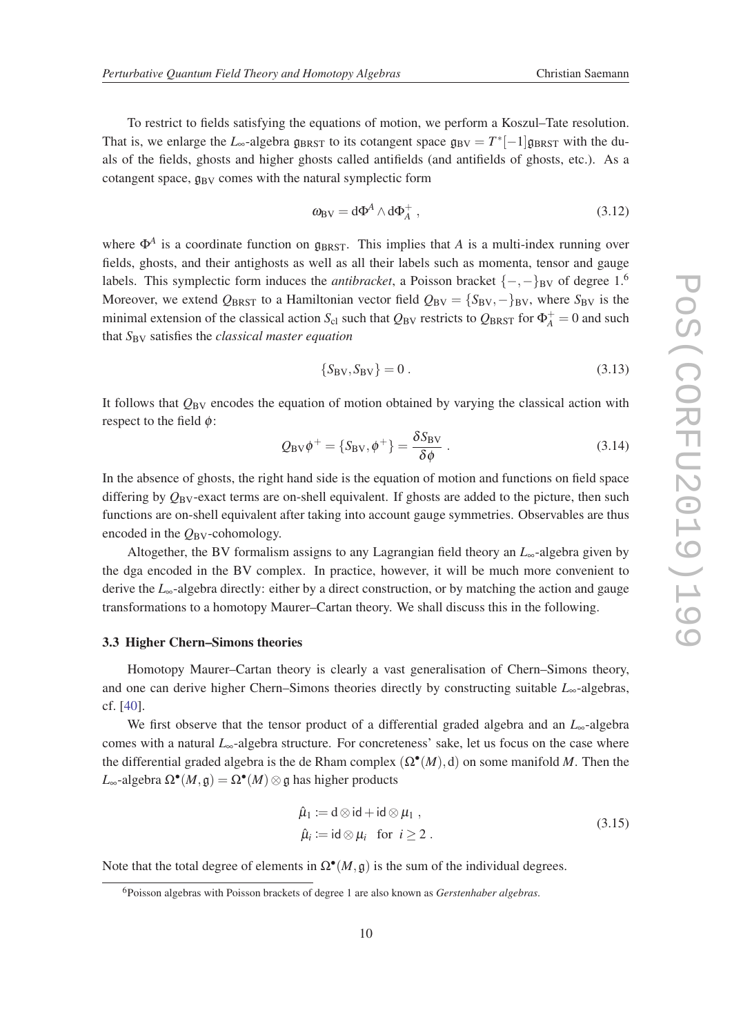To restrict to fields satisfying the equations of motion, we perform a Koszul–Tate resolution. That is, we enlarge the *L*<sub>∞</sub>-algebra  $\mathfrak{g}_{BRST}$  to its cotangent space  $\mathfrak{g}_{BV} = T^*[-1]\mathfrak{g}_{BRST}$  with the duals of the fields, ghosts and higher ghosts called antifields (and antifields of ghosts, etc.). As a cotangent space,  $g_{BV}$  comes with the natural symplectic form

$$
\omega_{\rm BV} = d\Phi^A \wedge d\Phi_A^+ \,,\tag{3.12}
$$

where  $\Phi^A$  is a coordinate function on  $\mathfrak{g}_{BRST}$ . This implies that *A* is a multi-index running over fields, ghosts, and their antighosts as well as all their labels such as momenta, tensor and gauge labels. This symplectic form induces the *antibracket*, a Poisson bracket  $\{-,-\}_B$ <sub>V</sub> of degree 1.<sup>6</sup> Moreover, we extend  $Q_{BRST}$  to a Hamiltonian vector field  $Q_{BV} = {S_{BV}, -}B_{VV}$ , where  $S_{BV}$  is the minimal extension of the classical action  $S_{c1}$  such that  $Q_{BV}$  restricts to  $Q_{BRST}$  for  $\Phi_A^+ = 0$  and such that *S*BV satisfies the *classical master equation*

$$
\{S_{\rm BV}, S_{\rm BV}\} = 0\,. \tag{3.13}
$$

It follows that  $Q_{\text{BV}}$  encodes the equation of motion obtained by varying the classical action with respect to the field  $\phi$ :

$$
Q_{\rm BV}\phi^+ = \{S_{\rm BV}, \phi^+\} = \frac{\delta S_{\rm BV}}{\delta \phi} \ . \tag{3.14}
$$

In the absence of ghosts, the right hand side is the equation of motion and functions on field space differing by  $Q_{\text{BV}}$ -exact terms are on-shell equivalent. If ghosts are added to the picture, then such functions are on-shell equivalent after taking into account gauge symmetries. Observables are thus encoded in the  $Q_{\rm BV}$ -cohomology.

Altogether, the BV formalism assigns to any Lagrangian field theory an *L*∞-algebra given by the dga encoded in the BV complex. In practice, however, it will be much more convenient to derive the *L*∞-algebra directly: either by a direct construction, or by matching the action and gauge transformations to a homotopy Maurer–Cartan theory. We shall discuss this in the following.

#### 3.3 Higher Chern–Simons theories

Homotopy Maurer–Cartan theory is clearly a vast generalisation of Chern–Simons theory, and one can derive higher Chern–Simons theories directly by constructing suitable *L*∞-algebras, cf. [[40\]](#page-24-0).

We first observe that the tensor product of a differential graded algebra and an *L*∞-algebra comes with a natural *L*∞-algebra structure. For concreteness' sake, let us focus on the case where the differential graded algebra is the de Rham complex  $(\Omega^{\bullet}(M), d)$  on some manifold M. Then the  $L_{\infty}$ -algebra  $\Omega^{\bullet}(M, \mathfrak{g}) = \Omega^{\bullet}(M) \otimes \mathfrak{g}$  has higher products

$$
\hat{\mu}_1 := d \otimes id + id \otimes \mu_1 ,\n\hat{\mu}_i := id \otimes \mu_i \text{ for } i \ge 2 .
$$
\n(3.15)

Note that the total degree of elements in  $\Omega^{\bullet}(M, \mathfrak{g})$  is the sum of the individual degrees.

<sup>6</sup>Poisson algebras with Poisson brackets of degree 1 are also known as *Gerstenhaber algebras*.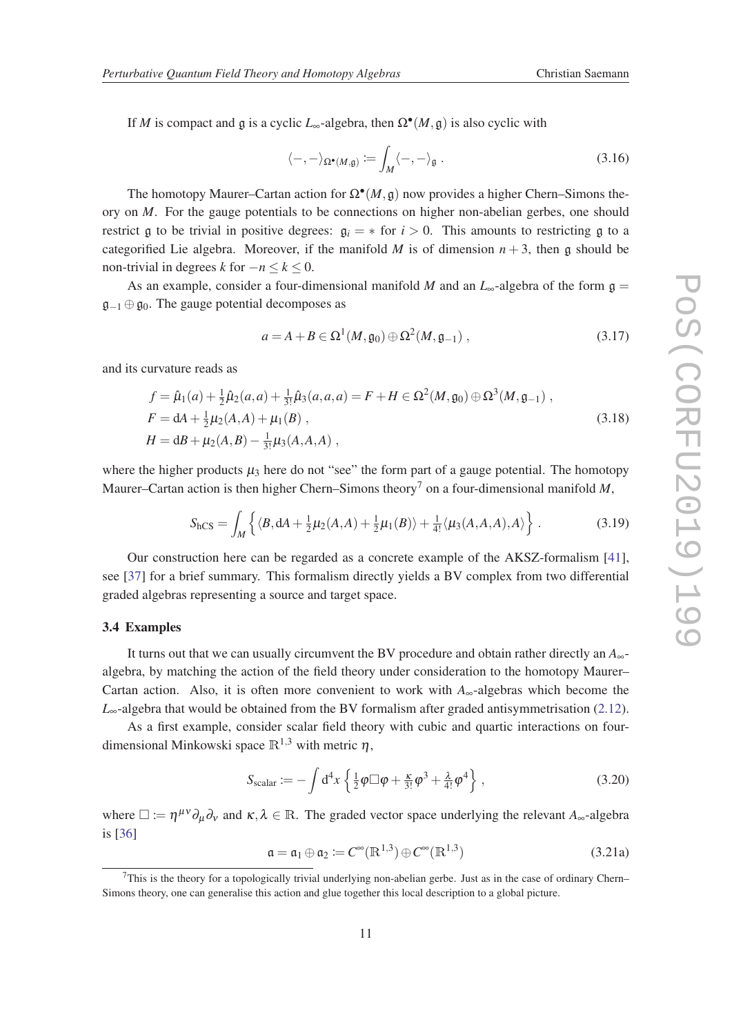<span id="page-12-0"></span>If *M* is compact and  $\mathfrak g$  is a cyclic *L*<sub>∞</sub>-algebra, then  $\Omega^{\bullet}(M, \mathfrak g)$  is also cyclic with

$$
\langle -, - \rangle_{\Omega^{\bullet}(M, \mathfrak{g})} \coloneqq \int_M \langle -, - \rangle_{\mathfrak{g}} \ . \tag{3.16}
$$

The homotopy Maurer–Cartan action for  $\Omega^{\bullet}(M, \mathfrak{g})$  now provides a higher Chern–Simons theory on *M*. For the gauge potentials to be connections on higher non-abelian gerbes, one should restrict g to be trivial in positive degrees:  $g_i = *$  for  $i > 0$ . This amounts to restricting g to a categorified Lie algebra. Moreover, if the manifold *M* is of dimension  $n + 3$ , then g should be non-trivial in degrees *k* for  $-n \leq k \leq 0$ .

As an example, consider a four-dimensional manifold *M* and an  $L_{\infty}$ -algebra of the form  $\mathfrak{g} =$  $\mathfrak{g}_{-1} \oplus \mathfrak{g}_0$ . The gauge potential decomposes as

$$
a = A + B \in \Omega^1(M, \mathfrak{g}_0) \oplus \Omega^2(M, \mathfrak{g}_{-1}), \qquad (3.17)
$$

and its curvature reads as

$$
f = \hat{\mu}_1(a) + \frac{1}{2}\hat{\mu}_2(a, a) + \frac{1}{3!}\hat{\mu}_3(a, a, a) = F + H \in \Omega^2(M, \mathfrak{g}_0) \oplus \Omega^3(M, \mathfrak{g}_{-1}),
$$
  
\n
$$
F = dA + \frac{1}{2}\mu_2(A, A) + \mu_1(B),
$$
  
\n
$$
H = dB + \mu_2(A, B) - \frac{1}{3!}\mu_3(A, A, A),
$$
\n(3.18)

where the higher products  $\mu_3$  here do not "see" the form part of a gauge potential. The homotopy Maurer–Cartan action is then higher Chern–Simons theory<sup>7</sup> on a four-dimensional manifold  $M$ ,

$$
S_{\rm hCS} = \int_M \left\{ \langle B, dA + \frac{1}{2}\mu_2(A, A) + \frac{1}{2}\mu_1(B) \rangle + \frac{1}{4!} \langle \mu_3(A, A, A), A \rangle \right\}.
$$
 (3.19)

Our construction here can be regarded as a concrete example of the AKSZ-formalism [[41\]](#page-24-0), see [\[37\]](#page-24-0) for a brief summary. This formalism directly yields a BV complex from two differential graded algebras representing a source and target space.

#### 3.4 Examples

It turns out that we can usually circumvent the BV procedure and obtain rather directly an *A*∞ algebra, by matching the action of the field theory under consideration to the homotopy Maurer– Cartan action. Also, it is often more convenient to work with *A*∞-algebras which become the *L*<sub>∞</sub>-algebra that would be obtained from the BV formalism after graded antisymmetrisation [\(2.12\)](#page-5-0).

As a first example, consider scalar field theory with cubic and quartic interactions on fourdimensional Minkowski space  $\mathbb{R}^{1,3}$  with metric  $\eta$ ,

$$
S_{\text{scalar}} := -\int d^4x \left\{ \frac{1}{2} \varphi \Box \varphi + \frac{\kappa}{3!} \varphi^3 + \frac{\lambda}{4!} \varphi^4 \right\},\tag{3.20}
$$

where  $\Box := \eta^{\mu\nu} \partial_{\mu} \partial_{\nu}$  and  $\kappa, \lambda \in \mathbb{R}$ . The graded vector space underlying the relevant  $A_{\infty}$ -algebra is [[36\]](#page-24-0)

$$
\mathfrak{a} = \mathfrak{a}_1 \oplus \mathfrak{a}_2 := C^{\infty}(\mathbb{R}^{1,3}) \oplus C^{\infty}(\mathbb{R}^{1,3})
$$
\n(3.21a)

 $7$ This is the theory for a topologically trivial underlying non-abelian gerbe. Just as in the case of ordinary Chern– Simons theory, one can generalise this action and glue together this local description to a global picture.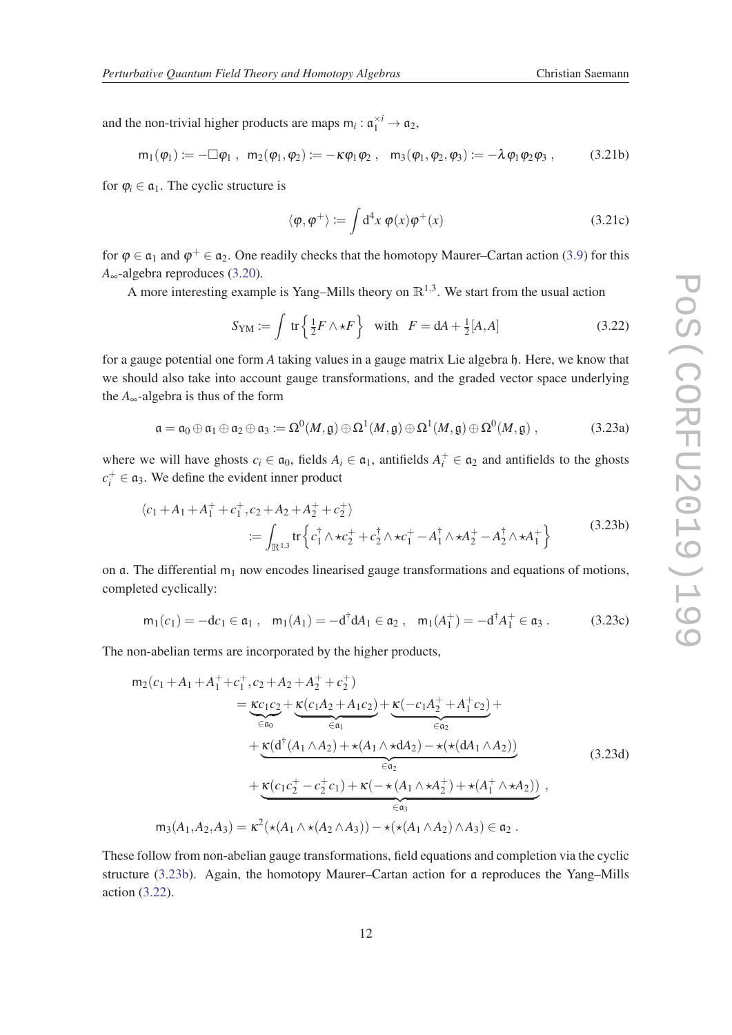<span id="page-13-0"></span>and the non-trivial higher products are maps  $m_i : \mathfrak{a}_1^{\times i} \to \mathfrak{a}_2$ ,

$$
m_1(\phi_1) := -\Box \phi_1 \; , \; \; m_2(\phi_1, \phi_2) := -\kappa \phi_1 \phi_2 \; , \; \; \; m_3(\phi_1, \phi_2, \phi_3) := -\lambda \phi_1 \phi_2 \phi_3 \; , \eqno(3.21b)
$$

for  $\varphi_i \in \mathfrak{a}_1$ . The cyclic structure is

$$
\langle \varphi, \varphi^+ \rangle := \int d^4x \, \varphi(x) \varphi^+(x) \tag{3.21c}
$$

for  $\varphi \in \mathfrak{a}_1$  and  $\varphi^+ \in \mathfrak{a}_2$ . One readily checks that the homotopy Maurer–Cartan action ([3.9\)](#page-10-0) for this *A*∞-algebra reproduces ([3.20\)](#page-12-0).

A more interesting example is Yang–Mills theory on  $\mathbb{R}^{1,3}$ . We start from the usual action

$$
S_{\rm YM} := \int \, \text{tr}\left\{ \frac{1}{2} F \wedge \star F \right\} \quad \text{with} \quad F = dA + \frac{1}{2}[A, A] \tag{3.22}
$$

for a gauge potential one form *A* taking values in a gauge matrix Lie algebra h. Here, we know that we should also take into account gauge transformations, and the graded vector space underlying the  $A_{\infty}$ -algebra is thus of the form

$$
\mathfrak{a} = \mathfrak{a}_0 \oplus \mathfrak{a}_1 \oplus \mathfrak{a}_2 \oplus \mathfrak{a}_3 := \Omega^0(M, \mathfrak{g}) \oplus \Omega^1(M, \mathfrak{g}) \oplus \Omega^1(M, \mathfrak{g}) \oplus \Omega^0(M, \mathfrak{g}) , \qquad (3.23a)
$$

where we will have ghosts  $c_i \in \mathfrak{a}_0$ , fields  $A_i \in \mathfrak{a}_1$ , antifields  $A_i^+ \in \mathfrak{a}_2$  and antifields to the ghosts  $c_i^+ \in \mathfrak{a}_3$ . We define the evident inner product

$$
\langle c_1 + A_1 + A_1^+ + c_1^+, c_2 + A_2 + A_2^+ + c_2^+ \rangle
$$
  
 :=  $\int_{\mathbb{R}^{1,3}} tr \left\{ c_1^{\dagger} \wedge \star c_2^+ + c_2^{\dagger} \wedge \star c_1^+ - A_1^{\dagger} \wedge \star A_2^+ - A_2^{\dagger} \wedge \star A_1^+ \right\}$  (3.23b)

on  $\alpha$ . The differential  $m_1$  now encodes linearised gauge transformations and equations of motions, completed cyclically:

$$
\mathsf{m}_1(c_1) = -\mathsf{d}c_1 \in \mathfrak{a}_1 \,, \quad \mathsf{m}_1(A_1) = -\mathsf{d}^\dagger \mathsf{d}A_1 \in \mathfrak{a}_2 \,, \quad \mathsf{m}_1(A_1^+) = -\mathsf{d}^\dagger A_1^+ \in \mathfrak{a}_3 \,. \tag{3.23c}
$$

The non-abelian terms are incorporated by the higher products,

$$
m_{2}(c_{1} + A_{1} + A_{1}^{+} + c_{1}^{+}, c_{2} + A_{2} + A_{2}^{+} + c_{2}^{+})
$$
\n
$$
= \underbrace{\kappa c_{1}c_{2}}_{\in a_{0}} + \underbrace{\kappa(c_{1}A_{2} + A_{1}c_{2})}_{\in a_{1}} + \underbrace{\kappa(-c_{1}A_{2}^{+} + A_{1}^{+}c_{2})}_{\in a_{2}} + \underbrace{\kappa(d^{\dagger}(A_{1} \wedge A_{2}) + \kappa(A_{1} \wedge \star d_{2}) - \star(\star(dA_{1} \wedge A_{2}))}_{\in a_{2}} + \underbrace{\kappa(c_{1}c_{2}^{+} - c_{2}^{+}c_{1}) + \kappa(-\star(A_{1} \wedge \star A_{2}^{+}) + \star(A_{1}^{+} \wedge \star A_{2}))}_{\in a_{3}},
$$
\n
$$
m_{3}(A_{1}, A_{2}, A_{3}) = \kappa^{2}(\star(A_{1} \wedge \star(A_{2} \wedge A_{3})) - \star(\star(A_{1} \wedge A_{2}) \wedge A_{3}) \in a_{2}.
$$
\n(3.23d)

These follow from non-abelian gauge transformations, field equations and completion via the cyclic structure (3.23b). Again, the homotopy Maurer–Cartan action for a reproduces the Yang–Mills action (3.22).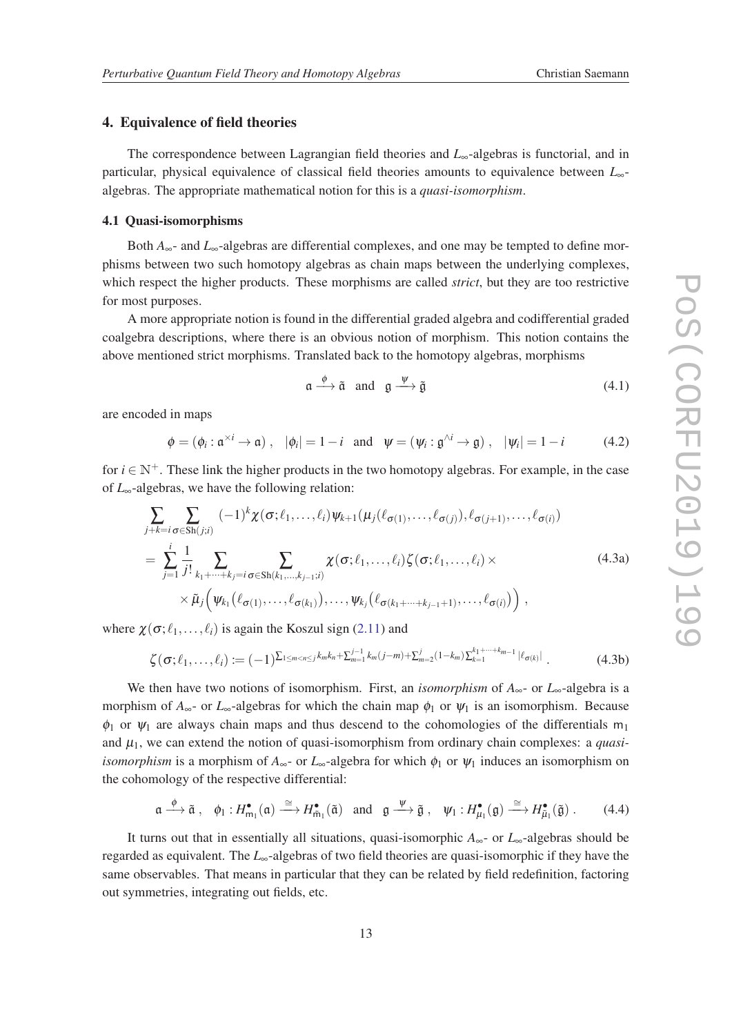### 4. Equivalence of field theories

The correspondence between Lagrangian field theories and *L*∞-algebras is functorial, and in particular, physical equivalence of classical field theories amounts to equivalence between *L*∞ algebras. The appropriate mathematical notion for this is a *quasi-isomorphism*.

### 4.1 Quasi-isomorphisms

Both *A*∞- and *L*∞-algebras are differential complexes, and one may be tempted to define morphisms between two such homotopy algebras as chain maps between the underlying complexes, which respect the higher products. These morphisms are called *strict*, but they are too restrictive for most purposes.

A more appropriate notion is found in the differential graded algebra and codifferential graded coalgebra descriptions, where there is an obvious notion of morphism. This notion contains the above mentioned strict morphisms. Translated back to the homotopy algebras, morphisms

$$
\mathfrak{a} \xrightarrow{\phi} \tilde{\mathfrak{a}} \quad \text{and} \quad \mathfrak{g} \xrightarrow{\psi} \tilde{\mathfrak{g}} \tag{4.1}
$$

are encoded in maps

$$
\phi = (\phi_i : \mathfrak{a}^{\times i} \to \mathfrak{a}), \quad |\phi_i| = 1 - i \quad \text{and} \quad \psi = (\psi_i : \mathfrak{g}^{\wedge i} \to \mathfrak{g}), \quad |\psi_i| = 1 - i \tag{4.2}
$$

for  $i \in \mathbb{N}^+$ . These link the higher products in the two homotopy algebras. For example, in the case of *L*∞-algebras, we have the following relation:

$$
\sum_{j+k=i} \sum_{\sigma \in Sh(j;i)} (-1)^k \chi(\sigma; \ell_1, \dots, \ell_i) \psi_{k+1}(\mu_j(\ell_{\sigma(1)}, \dots, \ell_{\sigma(j)}), \ell_{\sigma(j+1)}, \dots, \ell_{\sigma(i)})
$$
\n
$$
= \sum_{j=1}^i \frac{1}{j!} \sum_{k_1 + \dots + k_j = i} \sum_{\sigma \in Sh(k_1, \dots, k_{j-1}; i)} \chi(\sigma; \ell_1, \dots, \ell_i) \zeta(\sigma; \ell_1, \dots, \ell_i) \times \tilde{\mu}_j(\psi_{k_1}(\ell_{\sigma(1)}, \dots, \ell_{\sigma(k_1)}), \dots, \psi_{k_j}(\ell_{\sigma(k_1 + \dots + k_{j-1}+1)}, \dots, \ell_{\sigma(i)})) ,
$$
\n(4.3a)

where  $\chi(\sigma; \ell_1, \ldots, \ell_i)$  is again the Koszul sign ([2.11\)](#page-5-0) and

$$
\zeta(\sigma;\ell_1,\ldots,\ell_i) := (-1)^{\sum_{1 \le m < n \le j} k_m k_n + \sum_{m=1}^{j-1} k_m (j-m) + \sum_{m=2}^j (1-k_m) \sum_{k=1}^{k_1+\cdots+k_{m-1}} |\ell_{\sigma(k)}|}.
$$
\n(4.3b)

We then have two notions of isomorphism. First, an *isomorphism* of *A*∞- or *L*∞-algebra is a morphism of  $A_{\infty}$ - or  $L_{\infty}$ -algebras for which the chain map  $\phi_1$  or  $\psi_1$  is an isomorphism. Because  $\phi_1$  or  $\psi_1$  are always chain maps and thus descend to the cohomologies of the differentials m<sub>1</sub> and  $\mu_1$ , we can extend the notion of quasi-isomorphism from ordinary chain complexes: a *quasiisomorphism* is a morphism of  $A_{\infty}$ - or  $L_{\infty}$ -algebra for which  $\phi_1$  or  $\psi_1$  induces an isomorphism on the cohomology of the respective differential:

$$
\mathfrak{a} \xrightarrow{\phi} \tilde{\mathfrak{a}}, \quad \phi_1: H^{\bullet}_{m_1}(\mathfrak{a}) \xrightarrow{\cong} H^{\bullet}_{\tilde{m}_1}(\tilde{\mathfrak{a}}) \quad \text{and} \quad \mathfrak{g} \xrightarrow{\psi} \tilde{\mathfrak{g}}, \quad \psi_1: H^{\bullet}_{\mu_1}(\mathfrak{g}) \xrightarrow{\cong} H^{\bullet}_{\tilde{\mu}_1}(\tilde{\mathfrak{g}}) \ . \tag{4.4}
$$

It turns out that in essentially all situations, quasi-isomorphic *A*∞- or *L*∞-algebras should be regarded as equivalent. The *L*∞-algebras of two field theories are quasi-isomorphic if they have the same observables. That means in particular that they can be related by field redefinition, factoring out symmetries, integrating out fields, etc.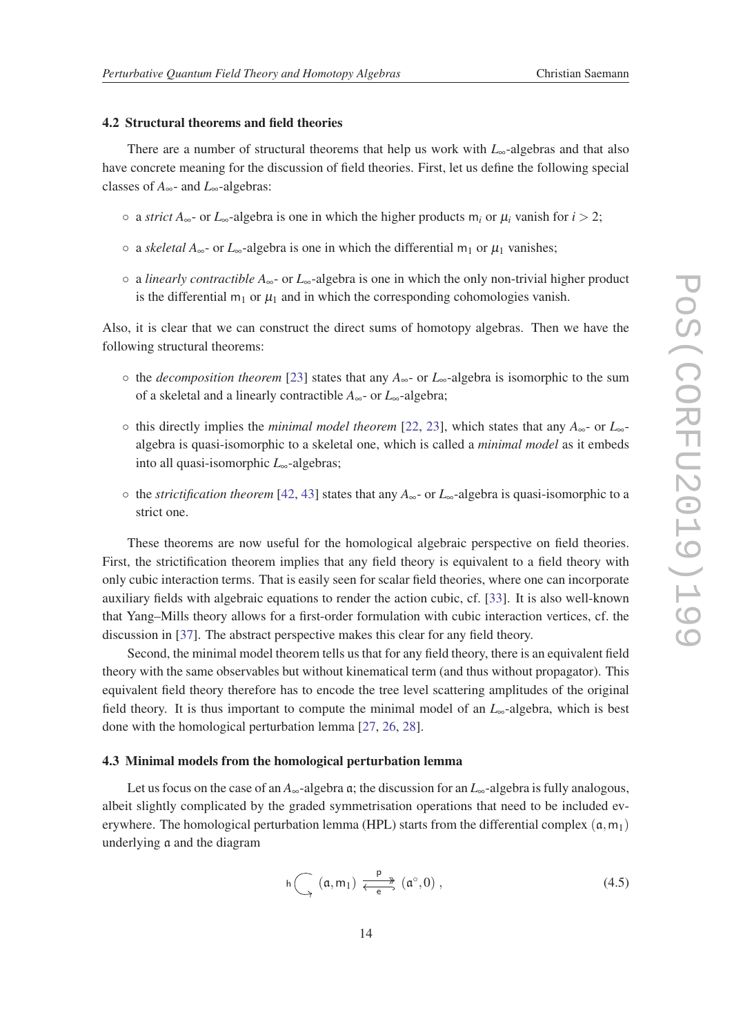### <span id="page-15-0"></span>4.2 Structural theorems and field theories

There are a number of structural theorems that help us work with *L*∞-algebras and that also have concrete meaning for the discussion of field theories. First, let us define the following special classes of *A*∞- and *L*∞-algebras:

- a *strict A*∞- or *L*∞-algebra is one in which the higher products m*<sup>i</sup>* or µ*<sup>i</sup>* vanish for *i* > 2;
- ∘ a *skeletal*  $A_{∞}$  or  $L_{∞}$ -algebra is one in which the differential m<sub>1</sub> or  $\mu_1$  vanishes;
- a *linearly contractible A*∞- or *L*∞-algebra is one in which the only non-trivial higher product is the differential  $m_1$  or  $\mu_1$  and in which the corresponding cohomologies vanish.

Also, it is clear that we can construct the direct sums of homotopy algebras. Then we have the following structural theorems:

- the *decomposition theorem* [\[23\]](#page-23-0) states that any *A*∞- or *L*∞-algebra is isomorphic to the sum of a skeletal and a linearly contractible *A*∞- or *L*∞-algebra;
- this directly implies the *minimal model theorem* [[22,](#page-23-0) [23\]](#page-23-0), which states that any *A*∞- or *L*∞ algebra is quasi-isomorphic to a skeletal one, which is called a *minimal model* as it embeds into all quasi-isomorphic *L*∞-algebras;
- the *strictification theorem* [[42,](#page-24-0) [43\]](#page-24-0) states that any *A*∞- or *L*∞-algebra is quasi-isomorphic to a strict one.

These theorems are now useful for the homological algebraic perspective on field theories. First, the strictification theorem implies that any field theory is equivalent to a field theory with only cubic interaction terms. That is easily seen for scalar field theories, where one can incorporate auxiliary fields with algebraic equations to render the action cubic, cf. [[33\]](#page-24-0). It is also well-known that Yang–Mills theory allows for a first-order formulation with cubic interaction vertices, cf. the discussion in [\[37](#page-24-0)]. The abstract perspective makes this clear for any field theory.

Second, the minimal model theorem tells us that for any field theory, there is an equivalent field theory with the same observables but without kinematical term (and thus without propagator). This equivalent field theory therefore has to encode the tree level scattering amplitudes of the original field theory. It is thus important to compute the minimal model of an *L*∞-algebra, which is best done with the homological perturbation lemma [[27,](#page-24-0) [26](#page-24-0), [28](#page-24-0)].

### 4.3 Minimal models from the homological perturbation lemma

Let us focus on the case of an *A*∞-algebra a; the discussion for an *L*∞-algebra is fully analogous, albeit slightly complicated by the graded symmetrisation operations that need to be included everywhere. The homological perturbation lemma (HPL) starts from the differential complex  $(a, m_1)$ underlying a and the diagram

$$
h\bigcap_{\gamma}(\mathfrak{a},m_1)\xrightarrow[\mathfrak{e}]{p}(\mathfrak{a}^\circ,0)\;, \tag{4.5}
$$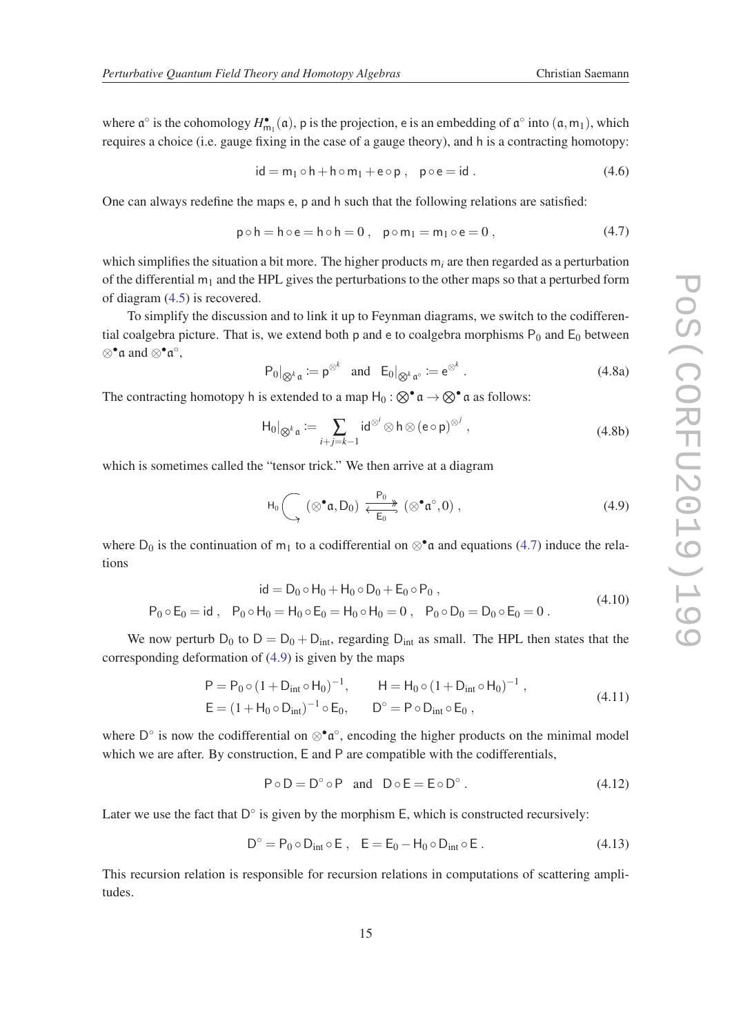<span id="page-16-0"></span>where  $\mathfrak{a}^{\circ}$  is the cohomology  $H_{m_1}^{\bullet}(\mathfrak{a})$ , p is the projection, e is an embedding of  $\mathfrak{a}^{\circ}$  into  $(\mathfrak{a},m_1)$ , which requires a choice (i.e. gauge fixing in the case of a gauge theory), and h is a contracting homotopy:

$$
id = m_1 \circ h + h \circ m_1 + e \circ p, \quad p \circ e = id. \tag{4.6}
$$

One can always redefine the maps e, p and h such that the following relations are satisfied:

$$
p \circ h = h \circ e = h \circ h = 0, \quad p \circ m_1 = m_1 \circ e = 0, \tag{4.7}
$$

which simplifies the situation a bit more. The higher products  $m_i$  are then regarded as a perturbation of the differential  $m_1$  and the HPL gives the perturbations to the other maps so that a perturbed form of diagram [\(4.5\)](#page-15-0) is recovered.

To simplify the discussion and to link it up to Feynman diagrams, we switch to the codifferential coalgebra picture. That is, we extend both p and e to coalgebra morphisms  $P_0$  and  $E_0$  between ⊗•a and ⊗•a ◦ ,

$$
P_0|_{\otimes^k \mathfrak{a}} := \mathfrak{p}^{\otimes^k} \quad \text{and} \quad E_0|_{\otimes^k \mathfrak{a}^\circ} := \mathfrak{e}^{\otimes^k} \ . \tag{4.8a}
$$

The contracting homotopy h is extended to a map  $H_0 : \otimes^{\bullet} \mathfrak{a} \to \otimes^{\bullet} \mathfrak{a}$  as follows:

$$
\mathrm{H}_0|_{\bigotimes^k \mathfrak{a}} := \sum_{i+j=k-1} \mathrm{id}^{\otimes^i} \otimes \mathfrak{h} \otimes (\mathfrak{e} \circ \mathfrak{p})^{\otimes^j} ,\tag{4.8b}
$$

which is sometimes called the "tensor trick." We then arrive at a diagram

$$
H_0\bigcap_{\to} (\otimes^{\bullet} \mathfrak{a}, D_0) \xleftarrow{\mathsf{P}_0} \bigotimes_{\mathsf{E}_0}^{\bullet} (\otimes^{\bullet} \mathfrak{a}^{\circ}, 0) , \tag{4.9}
$$

where  $D_0$  is the continuation of m<sub>1</sub> to a codifferential on ⊗<sup>•</sup>a and equations (4.7) induce the relations

$$
id = D_0 \circ H_0 + H_0 \circ D_0 + E_0 \circ P_0 ,
$$
  
\n
$$
P_0 \circ E_0 = id , \quad P_0 \circ H_0 = H_0 \circ E_0 = H_0 \circ H_0 = 0 , \quad P_0 \circ D_0 = D_0 \circ E_0 = 0 .
$$
\n(4.10)

We now perturb  $D_0$  to  $D = D_0 + D_{int}$ , regarding  $D_{int}$  as small. The HPL then states that the corresponding deformation of (4.9) is given by the maps

$$
P = P_0 \circ (1 + D_{int} \circ H_0)^{-1}, \qquad H = H_0 \circ (1 + D_{int} \circ H_0)^{-1},
$$
  
\n
$$
E = (1 + H_0 \circ D_{int})^{-1} \circ E_0, \qquad D^{\circ} = P \circ D_{int} \circ E_0,
$$
\n(4.11)

where D° is now the codifferential on  $\otimes^{\bullet} \mathfrak{a}^{\circ}$ , encoding the higher products on the minimal model which we are after. By construction, E and P are compatible with the codifferentials,

$$
P \circ D = D^{\circ} \circ P \quad \text{and} \quad D \circ E = E \circ D^{\circ} \ . \tag{4.12}
$$

Later we use the fact that  $D^{\circ}$  is given by the morphism  $E$ , which is constructed recursively:

$$
D^{\circ} = P_0 \circ D_{int} \circ E , \quad E = E_0 - H_0 \circ D_{int} \circ E . \tag{4.13}
$$

This recursion relation is responsible for recursion relations in computations of scattering amplitudes.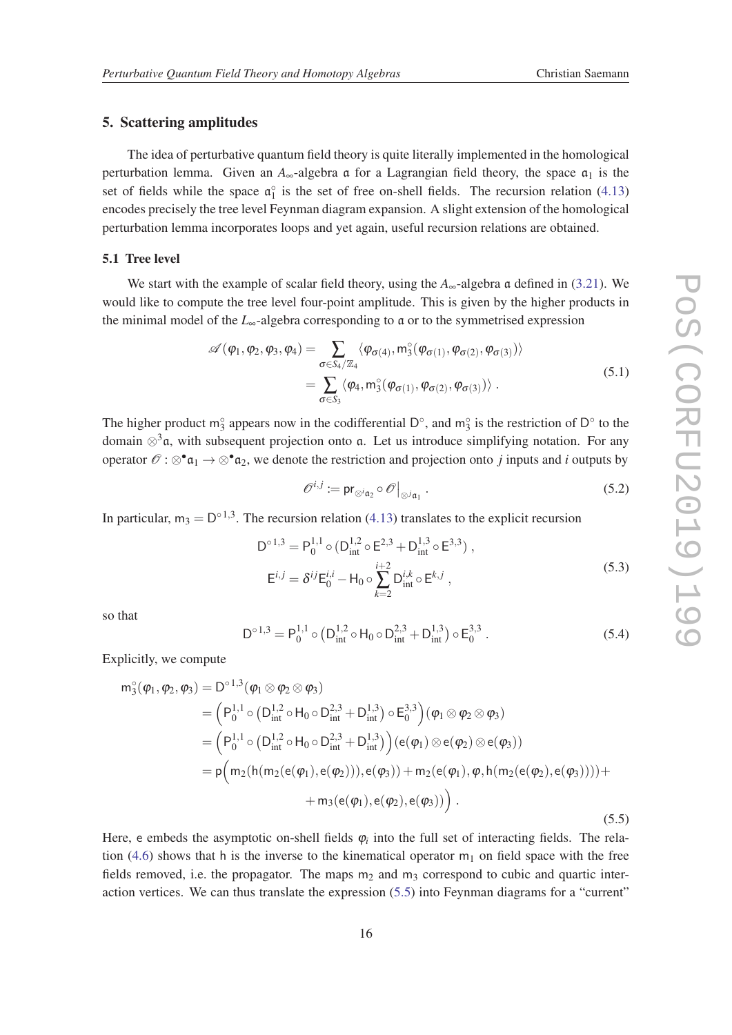### <span id="page-17-0"></span>5. Scattering amplitudes

The idea of perturbative quantum field theory is quite literally implemented in the homological perturbation lemma. Given an  $A_{\infty}$ -algebra a for a Lagrangian field theory, the space  $\mathfrak{a}_1$  is the set of fields while the space  $\mathfrak{a}_1^{\circ}$  is the set of free on-shell fields. The recursion relation [\(4.13](#page-16-0)) encodes precisely the tree level Feynman diagram expansion. A slight extension of the homological perturbation lemma incorporates loops and yet again, useful recursion relations are obtained.

### 5.1 Tree level

We start with the example of scalar field theory, using the  $A_{\infty}$ -algebra a defined in [\(3.21](#page-12-0)). We would like to compute the tree level four-point amplitude. This is given by the higher products in the minimal model of the  $L_{\infty}$ -algebra corresponding to a or to the symmetrised expression

$$
\mathscr{A}(\varphi_1, \varphi_2, \varphi_3, \varphi_4) = \sum_{\sigma \in S_4/\mathbb{Z}_4} \langle \varphi_{\sigma(4)}, m_3^{\circ}(\varphi_{\sigma(1)}, \varphi_{\sigma(2)}, \varphi_{\sigma(3)}) \rangle \n= \sum_{\sigma \in S_3} \langle \varphi_4, m_3^{\circ}(\varphi_{\sigma(1)}, \varphi_{\sigma(2)}, \varphi_{\sigma(3)}) \rangle .
$$
\n(5.1)

The higher product  $m_3^{\circ}$  appears now in the codifferential  $D^{\circ}$ , and  $m_3^{\circ}$  is the restriction of  $D^{\circ}$  to the domain  $\otimes^3$ a, with subsequent projection onto a. Let us introduce simplifying notation. For any operator  $\mathscr{O}: \otimes^{\bullet} \mathfrak{a}_1 \to \otimes^{\bullet} \mathfrak{a}_2$ , we denote the restriction and projection onto *j* inputs and *i* outputs by

$$
\mathscr{O}^{i,j} := \mathrm{pr}_{\otimes^i \mathfrak{a}_2} \circ \mathscr{O}|_{\otimes^j \mathfrak{a}_1} \,. \tag{5.2}
$$

In particular,  $m_3 = D^{\circ 1,3}$ . The recursion relation ([4.13\)](#page-16-0) translates to the explicit recursion

$$
D^{\circ 1,3} = P_0^{1,1} \circ (D_{int}^{1,2} \circ E^{2,3} + D_{int}^{1,3} \circ E^{3,3}),
$$
  
\n
$$
E^{i,j} = \delta^{ij} E_0^{i,i} - H_0 \circ \sum_{k=2}^{i+2} D_{int}^{i,k} \circ E^{k,j},
$$
\n(5.3)

so that

$$
D^{\circ 1,3} = P_0^{1,1} \circ (D_{int}^{1,2} \circ H_0 \circ D_{int}^{2,3} + D_{int}^{1,3}) \circ E_0^{3,3} .
$$
 (5.4)

Explicitly, we compute

$$
m_3^{\circ}(\varphi_1, \varphi_2, \varphi_3) = D^{\circ 1,3}(\varphi_1 \otimes \varphi_2 \otimes \varphi_3)
$$
  
\n
$$
= (P_0^{1,1} \circ (D_{int}^{1,2} \circ H_0 \circ D_{int}^{2,3} + D_{int}^{1,3}) \circ E_0^{3,3})(\varphi_1 \otimes \varphi_2 \otimes \varphi_3)
$$
  
\n
$$
= (P_0^{1,1} \circ (D_{int}^{1,2} \circ H_0 \circ D_{int}^{2,3} + D_{int}^{1,3})) (e(\varphi_1) \otimes e(\varphi_2) \otimes e(\varphi_3))
$$
  
\n
$$
= p(m_2(h(m_2(e(\varphi_1), e(\varphi_2))), e(\varphi_3)) + m_2(e(\varphi_1), \varphi, h(m_2(e(\varphi_2), e(\varphi_3)))) +
$$
  
\n
$$
+ m_3(e(\varphi_1), e(\varphi_2), e(\varphi_3)))
$$
\n(5.5)

Here, e embeds the asymptotic on-shell fields  $\varphi_i$  into the full set of interacting fields. The rela-tion [\(4.6](#page-16-0)) shows that h is the inverse to the kinematical operator  $m_1$  on field space with the free fields removed, i.e. the propagator. The maps  $m_2$  and  $m_3$  correspond to cubic and quartic interaction vertices. We can thus translate the expression (5.5) into Feynman diagrams for a "current"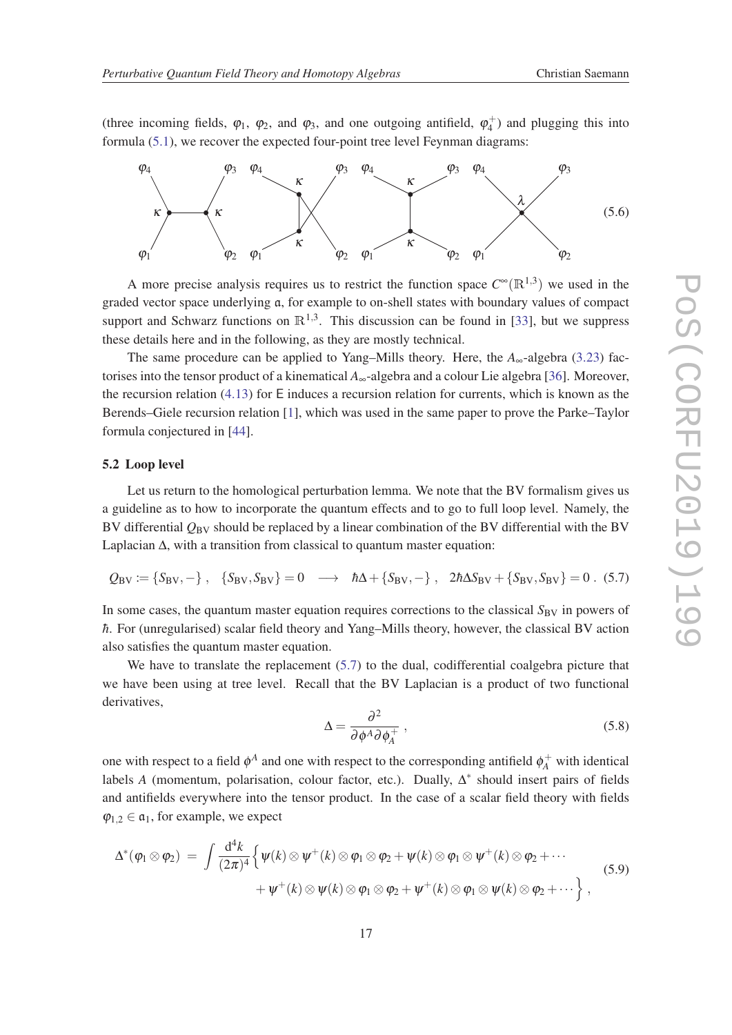<span id="page-18-0"></span>(three incoming fields,  $\varphi_1$ ,  $\varphi_2$ , and  $\varphi_3$ , and one outgoing antifield,  $\varphi_4^+$ ) and plugging this into formula [\(5.1\)](#page-17-0), we recover the expected four-point tree level Feynman diagrams:



A more precise analysis requires us to restrict the function space  $C^{\infty}(\mathbb{R}^{1,3})$  we used in the graded vector space underlying a, for example to on-shell states with boundary values of compact support and Schwarz functions on  $\mathbb{R}^{1,3}$ . This discussion can be found in [\[33](#page-24-0)], but we suppress these details here and in the following, as they are mostly technical.

The same procedure can be applied to Yang–Mills theory. Here, the  $A_{\infty}$ -algebra ([3.23\)](#page-13-0) factorises into the tensor product of a kinematical *A*∞-algebra and a colour Lie algebra [\[36](#page-24-0)]. Moreover, the recursion relation  $(4.13)$  $(4.13)$  for E induces a recursion relation for currents, which is known as the Berends–Giele recursion relation [[1](#page-22-0)], which was used in the same paper to prove the Parke–Taylor formula conjectured in [\[44\]](#page-24-0).

#### 5.2 Loop level

Let us return to the homological perturbation lemma. We note that the BV formalism gives us a guideline as to how to incorporate the quantum effects and to go to full loop level. Namely, the BV differential *Q*BV should be replaced by a linear combination of the BV differential with the BV Laplacian ∆, with a transition from classical to quantum master equation:

$$
Q_{BV} := \{S_{BV}, -\}, \quad \{S_{BV}, S_{BV}\} = 0 \quad \longrightarrow \quad \hbar\Delta + \{S_{BV}, -\}, \quad 2\hbar\Delta S_{BV} + \{S_{BV}, S_{BV}\} = 0 \quad (5.7)
$$

In some cases, the quantum master equation requires corrections to the classical S<sub>BV</sub> in powers of *h*. For (unregularised) scalar field theory and Yang–Mills theory, however, the classical BV action also satisfies the quantum master equation.

We have to translate the replacement  $(5.7)$  to the dual, codifferential coalgebra picture that we have been using at tree level. Recall that the BV Laplacian is a product of two functional derivatives,

$$
\Delta = \frac{\partial^2}{\partial \phi^A \partial \phi_A^+} \,, \tag{5.8}
$$

one with respect to a field  $\phi^A$  and one with respect to the corresponding antifield  $\phi^+_A$  with identical labels *A* (momentum, polarisation, colour factor, etc.). Dually,  $\Delta^*$  should insert pairs of fields and antifields everywhere into the tensor product. In the case of a scalar field theory with fields  $\varphi_{1,2} \in \mathfrak{a}_1$ , for example, we expect

$$
\Delta^*(\varphi_1 \otimes \varphi_2) = \int \frac{d^4k}{(2\pi)^4} \Big\{ \psi(k) \otimes \psi^+(k) \otimes \varphi_1 \otimes \varphi_2 + \psi(k) \otimes \varphi_1 \otimes \psi^+(k) \otimes \varphi_2 + \cdots + \psi^+(k) \otimes \psi(k) \otimes \varphi_1 \otimes \varphi_2 + \psi^+(k) \otimes \varphi_1 \otimes \psi(k) \otimes \varphi_2 + \cdots \Big\},
$$
(5.9)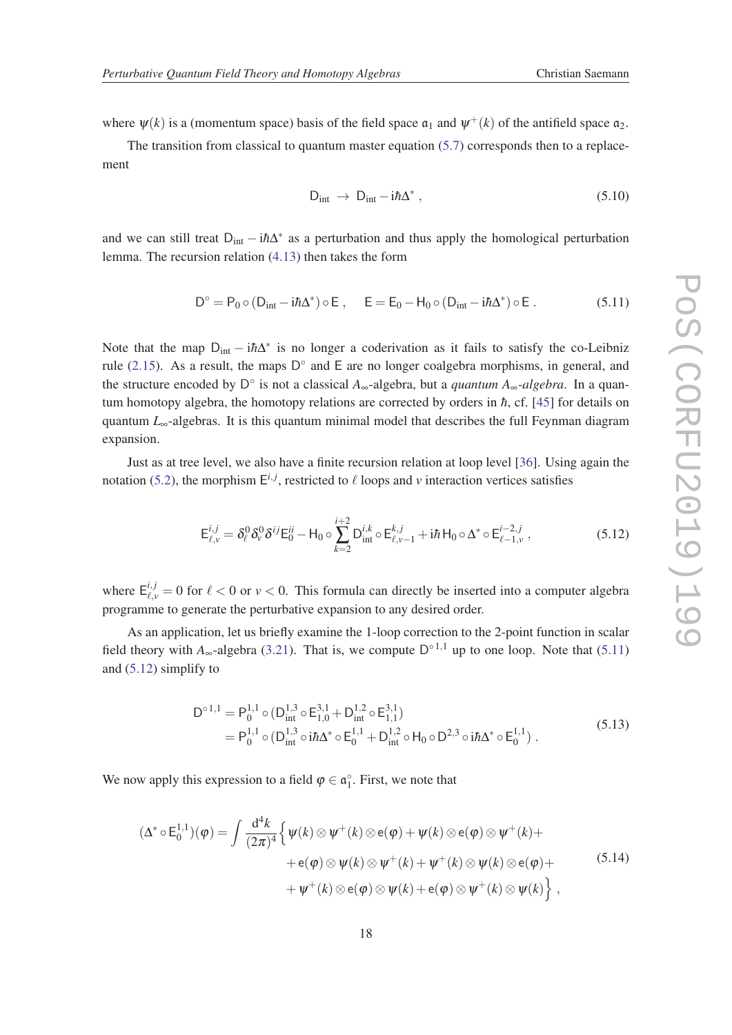<span id="page-19-0"></span>where  $\psi(k)$  is a (momentum space) basis of the field space  $\mathfrak{a}_1$  and  $\psi^+(k)$  of the antifield space  $\mathfrak{a}_2$ .

The transition from classical to quantum master equation  $(5.7)$  corresponds then to a replacement

$$
D_{int} \rightarrow D_{int} - i\hbar \Delta^* , \qquad (5.10)
$$

and we can still treat D<sub>int</sub> – i $\hbar\Delta^*$  as a perturbation and thus apply the homological perturbation lemma. The recursion relation ([4.13\)](#page-16-0) then takes the form

$$
D^\circ = P_0 \circ (D_{int} - i \hbar \Delta^*) \circ E\;, \quad \ \ E = E_0 - H_0 \circ (D_{int} - i \hbar \Delta^*) \circ E\;.
$$

Note that the map  $D_{int} - i\hbar\Delta^*$  is no longer a coderivation as it fails to satisfy the co-Leibniz rule [\(2.15\)](#page-6-0). As a result, the maps  $D^{\circ}$  and E are no longer coalgebra morphisms, in general, and the structure encoded by  $D^{\circ}$  is not a classical  $A_{\infty}$ -algebra, but a *quantum*  $A_{\infty}$ -algebra. In a quantum homotopy algebra, the homotopy relations are corrected by orders in  $\hbar$ , cf. [\[45](#page-24-0)] for details on quantum  $L_{\infty}$ -algebras. It is this quantum minimal model that describes the full Feynman diagram expansion.

Just as at tree level, we also have a finite recursion relation at loop level [[36](#page-24-0)]. Using again the notation [\(5.2](#page-17-0)), the morphism  $E^{i,j}$ , restricted to  $\ell$  loops and  $\nu$  interaction vertices satisfies

$$
\mathsf{E}_{\ell,\nu}^{i,j} = \delta_\ell^0 \delta_\nu^0 \delta^{ij} \mathsf{E}_{0}^{ii} - \mathsf{H}_0 \circ \sum_{k=2}^{i+2} \mathsf{D}_{\text{int}}^{i,k} \circ \mathsf{E}_{\ell,\nu-1}^{k,j} + i\hbar \mathsf{H}_0 \circ \Delta^* \circ \mathsf{E}_{\ell-1,\nu}^{i-2,j} , \qquad (5.12)
$$

where  $E^{i,j}_{\ell,\nu} = 0$  for  $\ell < 0$  or  $\nu < 0$ . This formula can directly be inserted into a computer algebra programme to generate the perturbative expansion to any desired order.

As an application, let us briefly examine the 1-loop correction to the 2-point function in scalar field theory with  $A_{\infty}$ -algebra ([3.21](#page-12-0)). That is, we compute  $D^{\circ 1,1}$  up to one loop. Note that (5.11) and (5.12) simplify to

$$
D^{\circ 1,1} = P_0^{1,1} \circ (D_{int}^{1,3} \circ E_{1,0}^{3,1} + D_{int}^{1,2} \circ E_{1,1}^{3,1})
$$
  
=  $P_0^{1,1} \circ (D_{int}^{1,3} \circ i\hbar\Delta^* \circ E_0^{1,1} + D_{int}^{1,2} \circ H_0 \circ D^{2,3} \circ i\hbar\Delta^* \circ E_0^{1,1}).$  (5.13)

We now apply this expression to a field  $\varphi \in \mathfrak{a}_1^{\circ}$ . First, we note that

$$
(\Delta^* \circ \mathsf{E}_0^{1,1})(\varphi) = \int \frac{\mathrm{d}^4 k}{(2\pi)^4} \Big\{ \psi(k) \otimes \psi^+(k) \otimes \mathsf{e}(\varphi) + \psi(k) \otimes \mathsf{e}(\varphi) \otimes \psi^+(k) + \\ + \mathsf{e}(\varphi) \otimes \psi(k) \otimes \psi^+(k) + \psi^+(k) \otimes \psi(k) \otimes \mathsf{e}(\varphi) + \\ + \psi^+(k) \otimes \mathsf{e}(\varphi) \otimes \psi(k) + \mathsf{e}(\varphi) \otimes \psi^+(k) \otimes \psi(k) \Big\} , \tag{5.14}
$$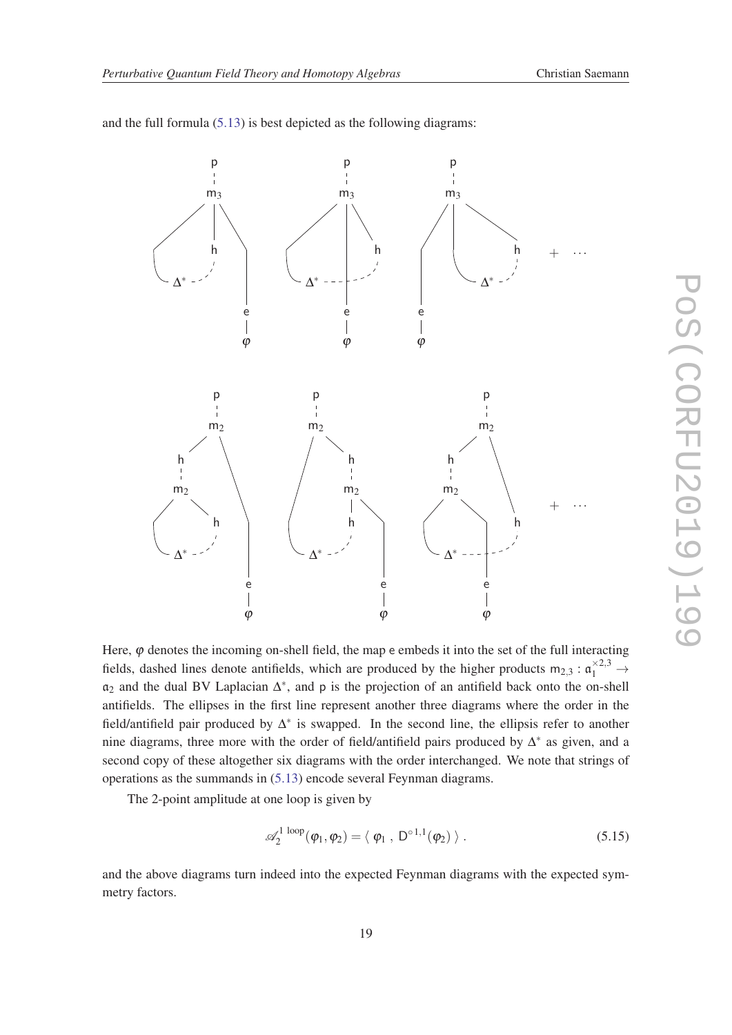

and the full formula ([5.13\)](#page-19-0) is best depicted as the following diagrams:

Here,  $\varphi$  denotes the incoming on-shell field, the map e embeds it into the set of the full interacting fields, dashed lines denote antifields, which are produced by the higher products  $m_{2,3} : \mathfrak{a}_1^{\times 2,3} \to$ a<sup>2</sup> and the dual BV Laplacian ∆ ∗ , and p is the projection of an antifield back onto the on-shell antifields. The ellipses in the first line represent another three diagrams where the order in the field/antifield pair produced by ∆ ∗ is swapped. In the second line, the ellipsis refer to another nine diagrams, three more with the order of field/antifield pairs produced by  $\Delta^*$  as given, and a second copy of these altogether six diagrams with the order interchanged. We note that strings of operations as the summands in ([5.13\)](#page-19-0) encode several Feynman diagrams.

The 2-point amplitude at one loop is given by

$$
\mathscr{A}_2^{1 \text{ loop}}(\varphi_1, \varphi_2) = \langle \varphi_1, D^{\circ 1,1}(\varphi_2) \rangle. \tag{5.15}
$$

and the above diagrams turn indeed into the expected Feynman diagrams with the expected symmetry factors.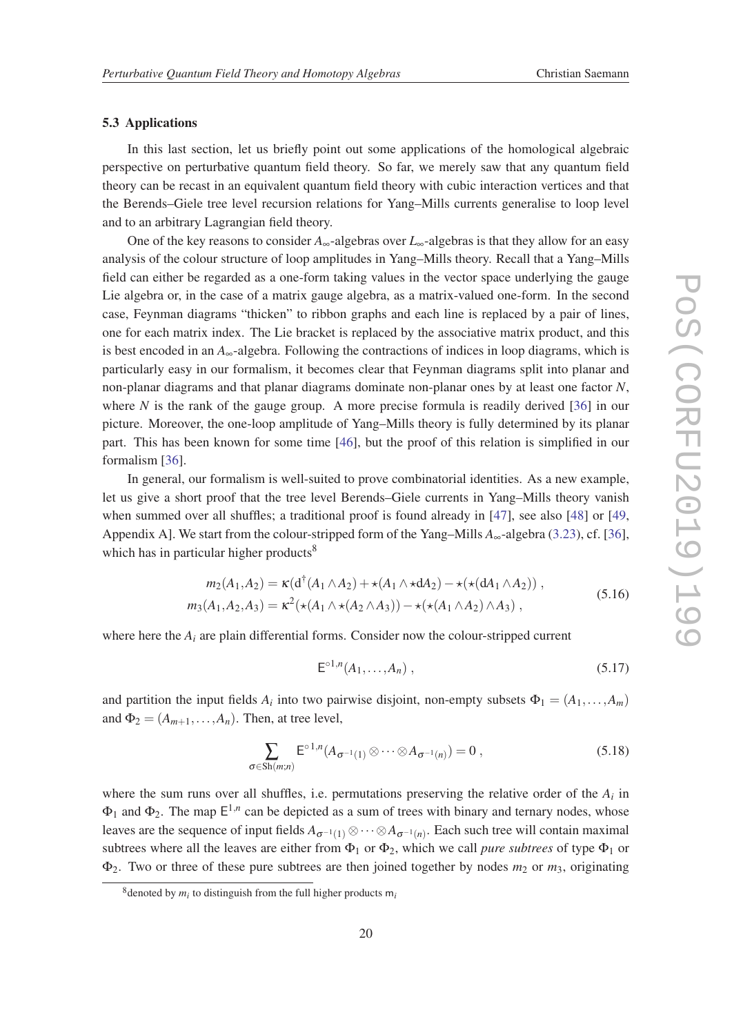#### <span id="page-21-0"></span>5.3 Applications

In this last section, let us briefly point out some applications of the homological algebraic perspective on perturbative quantum field theory. So far, we merely saw that any quantum field theory can be recast in an equivalent quantum field theory with cubic interaction vertices and that the Berends–Giele tree level recursion relations for Yang–Mills currents generalise to loop level and to an arbitrary Lagrangian field theory.

One of the key reasons to consider *A*∞-algebras over *L*∞-algebras is that they allow for an easy analysis of the colour structure of loop amplitudes in Yang–Mills theory. Recall that a Yang–Mills field can either be regarded as a one-form taking values in the vector space underlying the gauge Lie algebra or, in the case of a matrix gauge algebra, as a matrix-valued one-form. In the second case, Feynman diagrams "thicken" to ribbon graphs and each line is replaced by a pair of lines, one for each matrix index. The Lie bracket is replaced by the associative matrix product, and this is best encoded in an  $A_{\infty}$ -algebra. Following the contractions of indices in loop diagrams, which is particularly easy in our formalism, it becomes clear that Feynman diagrams split into planar and non-planar diagrams and that planar diagrams dominate non-planar ones by at least one factor *N*, where  $N$  is the rank of the gauge group. A more precise formula is readily derived  $[36]$  $[36]$  in our picture. Moreover, the one-loop amplitude of Yang–Mills theory is fully determined by its planar part. This has been known for some time [\[46](#page-25-0)], but the proof of this relation is simplified in our formalism [[36](#page-24-0)].

In general, our formalism is well-suited to prove combinatorial identities. As a new example, let us give a short proof that the tree level Berends–Giele currents in Yang–Mills theory vanish when summed over all shuffles; a traditional proof is found already in [[47\]](#page-25-0), see also [\[48](#page-25-0)] or [\[49](#page-25-0), Appendix A]. We start from the colour-stripped form of the Yang–Mills *A*∞-algebra ([3.23\)](#page-13-0), cf. [[36\]](#page-24-0), which has in particular higher products<sup>8</sup>

$$
m_2(A_1, A_2) = \kappa (d^{\dagger} (A_1 \wedge A_2) + \star (A_1 \wedge \star dA_2) - \star (\star (dA_1 \wedge A_2)),
$$
  
\n
$$
m_3(A_1, A_2, A_3) = \kappa^2 (\star (A_1 \wedge \star (A_2 \wedge A_3)) - \star (\star (A_1 \wedge A_2) \wedge A_3),
$$
\n(5.16)

where here the  $A_i$  are plain differential forms. Consider now the colour-stripped current

$$
E^{\circ 1,n}(A_1,\ldots,A_n) \; , \tag{5.17}
$$

and partition the input fields  $A_i$  into two pairwise disjoint, non-empty subsets  $\Phi_1 = (A_1, \ldots, A_m)$ and  $\Phi_2 = (A_{m+1}, \ldots, A_n)$ . Then, at tree level,

$$
\sum_{\sigma \in Sh(m;n)} E^{\circ 1,n}(A_{\sigma^{-1}(1)} \otimes \cdots \otimes A_{\sigma^{-1}(n)}) = 0 ,
$$
\n(5.18)

where the sum runs over all shuffles, i.e. permutations preserving the relative order of the  $A_i$  in  $\Phi_1$  and  $\Phi_2$ . The map  $E^{1,n}$  can be depicted as a sum of trees with binary and ternary nodes, whose leaves are the sequence of input fields  $A_{\sigma^{-1}(1)} \otimes \cdots \otimes A_{\sigma^{-1}(n)}$ . Each such tree will contain maximal subtrees where all the leaves are either from  $\Phi_1$  or  $\Phi_2$ , which we call *pure subtrees* of type  $\Phi_1$  or  $\Phi_2$ . Two or three of these pure subtrees are then joined together by nodes  $m_2$  or  $m_3$ , originating

 $8$  denoted by  $m_i$  to distinguish from the full higher products  $m_i$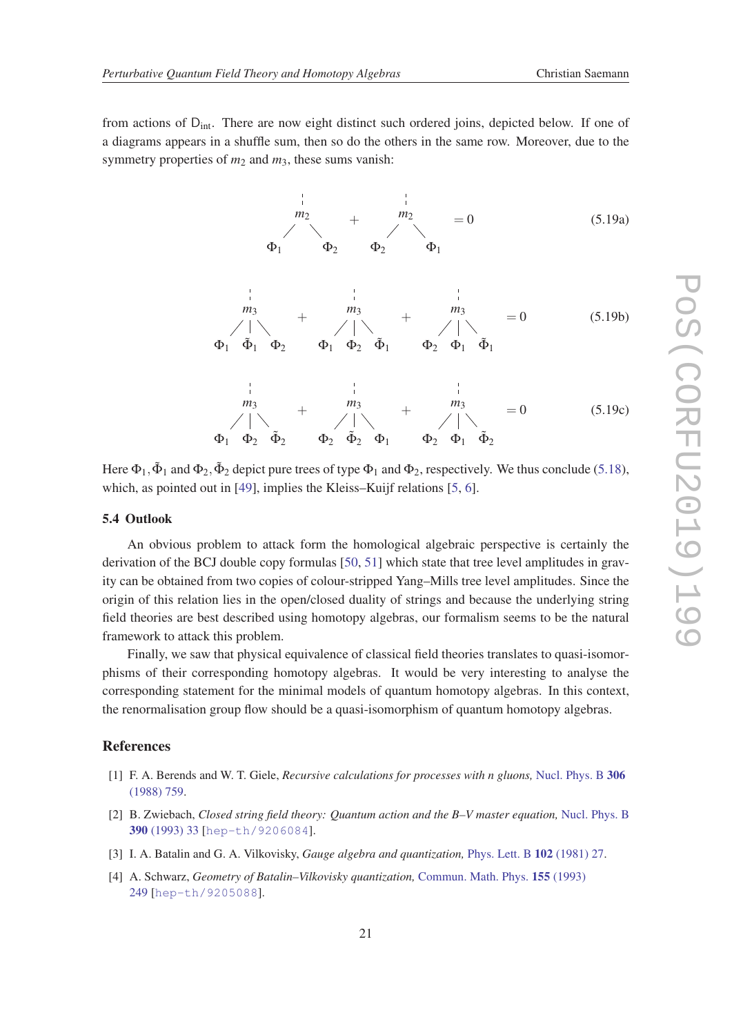<span id="page-22-0"></span>from actions of  $D_{int}$ . There are now eight distinct such ordered joins, depicted below. If one of a diagrams appears in a shuffle sum, then so do the others in the same row. Moreover, due to the symmetry properties of  $m_2$  and  $m_3$ , these sums vanish:



Here  $\Phi_1$ ,  $\tilde{\Phi}_1$  and  $\Phi_2$ ,  $\tilde{\Phi}_2$  depict pure trees of type  $\Phi_1$  and  $\Phi_2$ , respectively. We thus conclude [\(5.18\)](#page-21-0), which, as pointed out in [\[49](#page-25-0)], implies the Kleiss–Kuijf relations [\[5,](#page-23-0) [6\]](#page-23-0).

#### 5.4 Outlook

An obvious problem to attack form the homological algebraic perspective is certainly the derivation of the BCJ double copy formulas [\[50](#page-25-0), [51](#page-25-0)] which state that tree level amplitudes in gravity can be obtained from two copies of colour-stripped Yang–Mills tree level amplitudes. Since the origin of this relation lies in the open/closed duality of strings and because the underlying string field theories are best described using homotopy algebras, our formalism seems to be the natural framework to attack this problem.

Finally, we saw that physical equivalence of classical field theories translates to quasi-isomorphisms of their corresponding homotopy algebras. It would be very interesting to analyse the corresponding statement for the minimal models of quantum homotopy algebras. In this context, the renormalisation group flow should be a quasi-isomorphism of quantum homotopy algebras.

### References

- [1] F. A. Berends and W. T. Giele, *Recursive calculations for processes with n gluons,* [Nucl. Phys. B](http://dx.doi.org/10.1016/0550-3213(88)90442-7) 306 [\(1988\) 759](http://dx.doi.org/10.1016/0550-3213(88)90442-7).
- [2] B. Zwiebach, *Closed string field theory: Quantum action and the B–V master equation,* [Nucl. Phys. B](http://dx.doi.org/10.1016/0550-3213(93)90388-6) 390 [\(1993\) 33](http://dx.doi.org/10.1016/0550-3213(93)90388-6) [[hep-th/9206084](http://www.arxiv.org/abs/hep-th/9206084)].
- [3] I. A. Batalin and G. A. Vilkovisky, *Gauge algebra and quantization,* [Phys. Lett. B](http://dx.doi.org/10.1016/0370-2693(81)90205-7) 102 (1981) 27.
- [4] A. Schwarz, *Geometry of Batalin–Vilkovisky quantization,* [Commun. Math. Phys.](http://dx.doi.org/10.1007/BF02097392) 155 (1993) [249](http://dx.doi.org/10.1007/BF02097392) [[hep-th/9205088](http://www.arxiv.org/abs/hep-th/9205088)].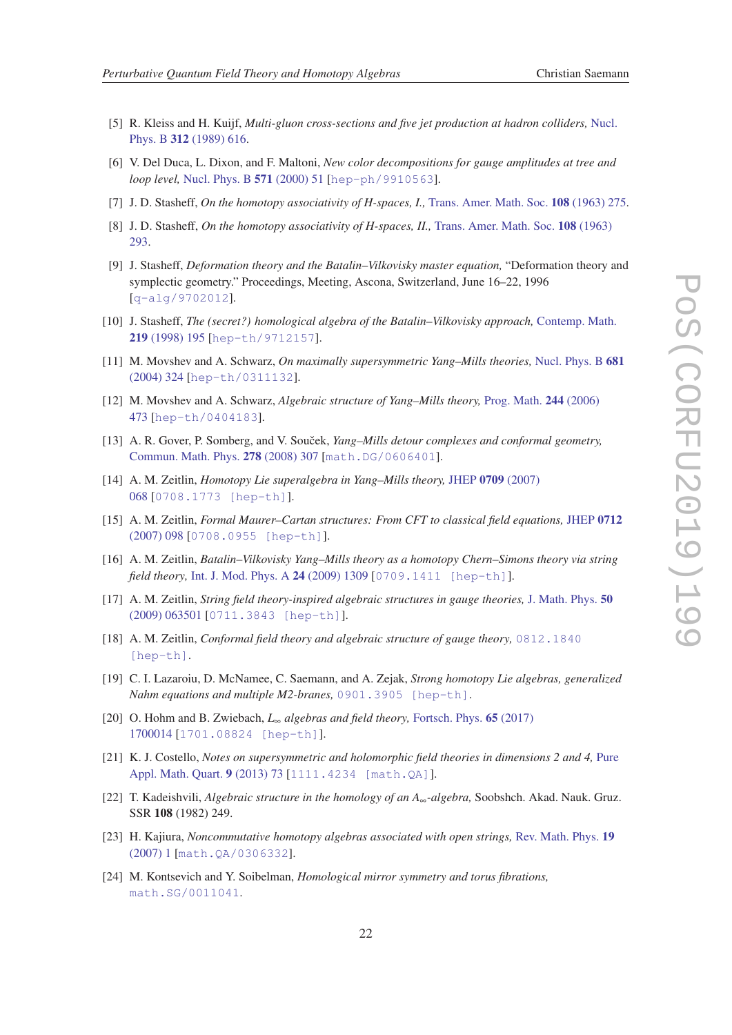- 
- <span id="page-23-0"></span>[5] R. Kleiss and H. Kuijf, *Multi-gluon cross-sections and five jet production at hadron colliders,* [Nucl.](http://dx.doi.org/10.1016/0550-3213(89)90574-9) Phys. B 312 [\(1989\) 616](http://dx.doi.org/10.1016/0550-3213(89)90574-9).
- [6] V. Del Duca, L. Dixon, and F. Maltoni, *New color decompositions for gauge amplitudes at tree and loop level,* [Nucl. Phys. B](http://dx.doi.org/10.1016/S0550-3213(99)00809-3) 571 (2000) 51 [[hep-ph/9910563](http://www.arxiv.org/abs/hep-ph/9910563)].
- [7] J. D. Stasheff, *On the homotopy associativity of H-spaces, I.,* [Trans. Amer. Math. Soc.](http://dx.doi.org/10.1090/S0002-9947-1963-99939-9) 108 (1963) 275.
- [8] J. D. Stasheff, *On the homotopy associativity of H-spaces, II.,* [Trans. Amer. Math. Soc.](http://dx.doi.org/10.1090/S0002-9947-1963-0158400-5) 108 (1963) [293](http://dx.doi.org/10.1090/S0002-9947-1963-0158400-5).
- [9] J. Stasheff, *Deformation theory and the Batalin–Vilkovisky master equation,* "Deformation theory and symplectic geometry." Proceedings, Meeting, Ascona, Switzerland, June 16–22, 1996 [[q-alg/9702012](http://www.arxiv.org/abs/q-alg/9702012)].
- [10] J. Stasheff, *The (secret?) homological algebra of the Batalin–Vilkovisky approach,* [Contemp. Math.](http://dx.doi.org/10.1090/conm/219/03076) 219 [\(1998\) 195](http://dx.doi.org/10.1090/conm/219/03076) [[hep-th/9712157](http://www.arxiv.org/abs/hep-th/9712157)].
- [11] M. Movshev and A. Schwarz, *On maximally supersymmetric Yang–Mills theories,* [Nucl. Phys. B](http://dx.doi.org/10.1016/j.nuclphysb.2003.12.033) 681 [\(2004\) 324](http://dx.doi.org/10.1016/j.nuclphysb.2003.12.033) [[hep-th/0311132](http://www.arxiv.org/abs/hep-th/0311132)].
- [12] M. Movshev and A. Schwarz, *Algebraic structure of Yang–Mills theory,* [Prog. Math.](http://dx.doi.org/10.1007/0-8176-4467-9_14) 244 (2006) [473](http://dx.doi.org/10.1007/0-8176-4467-9_14) [[hep-th/0404183](http://www.arxiv.org/abs/hep-th/0404183)].
- [13] A. R. Gover, P. Somberg, and V. Souček, *Yang–Mills detour complexes and conformal geometry*, [Commun. Math. Phys.](http://dx.doi.org/10.1007/s00220-007-0401-5) 278 (2008) 307 [[math.DG/0606401](http://www.arxiv.org/abs/math.DG/0606401)].
- [14] A. M. Zeitlin, *Homotopy Lie superalgebra in Yang–Mills theory,* JHEP 0709 [\(2007\)](http://dx.doi.org/10.1088/1126-6708/2007/09/068) [068](http://dx.doi.org/10.1088/1126-6708/2007/09/068) [[0708.1773 \[hep-th\]](http://www.arxiv.org/abs/0708.1773)].
- [15] A. M. Zeitlin, *Formal Maurer–Cartan structures: From CFT to classical field equations,* [JHEP](http://dx.doi.org/10.1088/1126-6708/2007/12/098) 0712 [\(2007\) 098](http://dx.doi.org/10.1088/1126-6708/2007/12/098) [[0708.0955 \[hep-th\]](http://www.arxiv.org/abs/0708.0955)].
- [16] A. M. Zeitlin, *Batalin–Vilkovisky Yang–Mills theory as a homotopy Chern–Simons theory via string field theory,* [Int. J. Mod. Phys. A](http://dx.doi.org/10.1142/S0217751X09043031) 24 (2009) 1309 [[0709.1411 \[hep-th\]](http://www.arxiv.org/abs/0709.1411)].
- [17] A. M. Zeitlin, *String field theory-inspired algebraic structures in gauge theories,* [J. Math. Phys.](http://dx.doi.org/10.1063/1.3142964) 50 [\(2009\) 063501](http://dx.doi.org/10.1063/1.3142964) [[0711.3843 \[hep-th\]](http://www.arxiv.org/abs/0711.3843)].
- [18] A. M. Zeitlin, *Conformal field theory and algebraic structure of gauge theory,* [0812.1840](http://www.arxiv.org/abs/0812.1840) [\[hep-th\]](http://www.arxiv.org/abs/0812.1840).
- [19] C. I. Lazaroiu, D. McNamee, C. Saemann, and A. Zejak, *Strong homotopy Lie algebras, generalized Nahm equations and multiple M2-branes,* [0901.3905 \[hep-th\]](http://www.arxiv.org/abs/0901.3905).
- [20] O. Hohm and B. Zwiebach, *L*<sup>∞</sup> *algebras and field theory,* [Fortsch. Phys.](http://dx.doi.org/10.1002/prop.201700014) 65 (2017) [1700014](http://dx.doi.org/10.1002/prop.201700014) [[1701.08824 \[hep-th\]](http://www.arxiv.org/abs/1701.08824)].
- [21] K. J. Costello, *Notes on supersymmetric and holomorphic field theories in dimensions 2 and 4,* [Pure](http://dx.doi.org/10.4310/pamq.2013.v9.n1.a3) [Appl. Math. Quart.](http://dx.doi.org/10.4310/pamq.2013.v9.n1.a3) 9 (2013) 73 [[1111.4234 \[math.QA\]](http://www.arxiv.org/abs/1111.4234)].
- [22] T. Kadeishvili, *Algebraic structure in the homology of an A*∞*-algebra,* Soobshch. Akad. Nauk. Gruz. SSR 108 (1982) 249.
- [23] H. Kajiura, *Noncommutative homotopy algebras associated with open strings,* [Rev. Math. Phys.](http://dx.doi.org/10.1142/S0129055X07002912) 19 [\(2007\) 1](http://dx.doi.org/10.1142/S0129055X07002912) [[math.QA/0306332](http://www.arxiv.org/abs/math.QA/0306332)].
- [24] M. Kontsevich and Y. Soibelman, *Homological mirror symmetry and torus fibrations,* [math.SG/0011041](http://www.arxiv.org/abs/math.SG/0011041).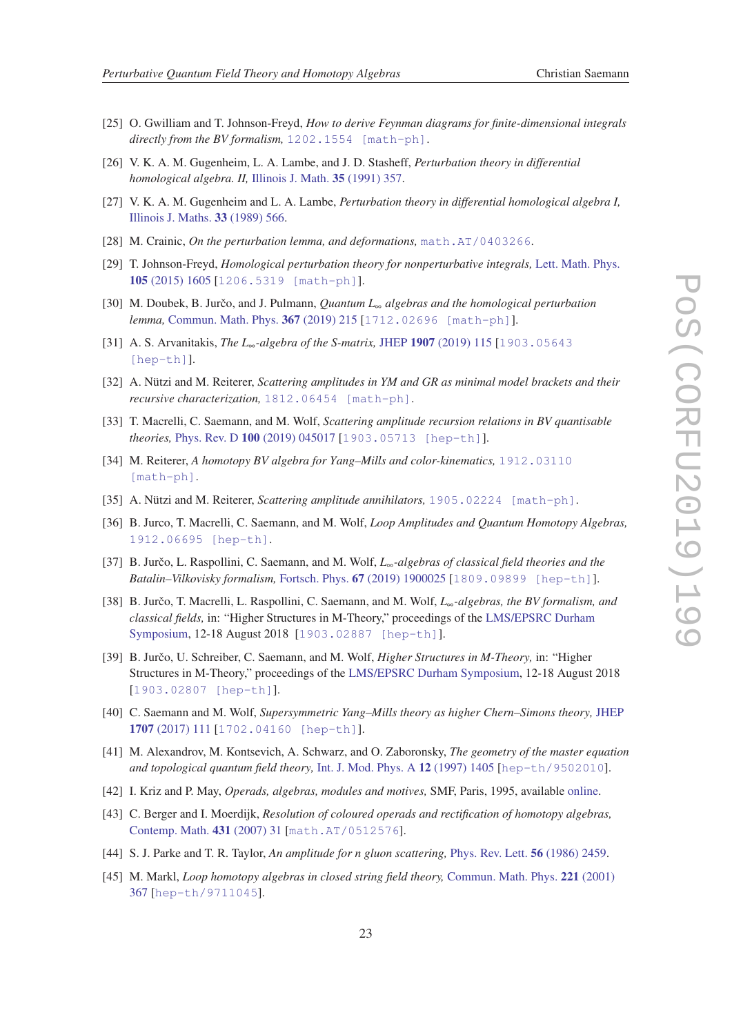- <span id="page-24-0"></span>[25] O. Gwilliam and T. Johnson-Freyd, *How to derive Feynman diagrams for finite-dimensional integrals directly from the BV formalism,* [1202.1554 \[math-ph\]](http://www.arxiv.org/abs/1202.1554).
- [26] V. K. A. M. Gugenheim, L. A. Lambe, and J. D. Stasheff, *Perturbation theory in differential homological algebra. II,* [Illinois J. Math.](https://projecteuclid.org/euclid.ijm/1255987784) 35 (1991) 357.
- [27] V. K. A. M. Gugenheim and L. A. Lambe, *Perturbation theory in differential homological algebra I,* [Illinois J. Maths.](https://projecteuclid.org/euclid.ijm/1255988571) 33 (1989) 566.
- [28] M. Crainic, *On the perturbation lemma, and deformations,* [math.AT/0403266](http://www.arxiv.org/abs/math.AT/0403266).
- [29] T. Johnson-Freyd, *Homological perturbation theory for nonperturbative integrals,* [Lett. Math. Phys.](http://dx.doi.org/10.1007/s11005-015-0791-9) 105 [\(2015\) 1605](http://dx.doi.org/10.1007/s11005-015-0791-9) [[1206.5319 \[math-ph\]](http://www.arxiv.org/abs/1206.5319)].
- [30] M. Doubek, B. Jurčo, and J. Pulmann, *Quantum L*<sub>∞</sub> *algebras and the homological perturbation lemma,* [Commun. Math. Phys.](http://dx.doi.org/10.1007/s00220-019-03375-x) 367 (2019) 215 [[1712.02696 \[math-ph\]](http://www.arxiv.org/abs/1712.02696)].
- [31] A. S. Arvanitakis, *The L*∞*-algebra of the S-matrix,* JHEP 1907 [\(2019\) 115](http://dx.doi.org/10.1007/JHEP07(2019)115) [[1903.05643](http://www.arxiv.org/abs/1903.05643) [\[hep-th\]](http://www.arxiv.org/abs/1903.05643)].
- [32] A. Nützi and M. Reiterer, *Scattering amplitudes in YM and GR as minimal model brackets and their recursive characterization,* [1812.06454 \[math-ph\]](http://www.arxiv.org/abs/1812.06454).
- [33] T. Macrelli, C. Saemann, and M. Wolf, *Scattering amplitude recursion relations in BV quantisable theories,* Phys. Rev. D 100 [\(2019\) 045017](http://dx.doi.org/10.1103/PhysRevD.100.045017) [[1903.05713 \[hep-th\]](http://www.arxiv.org/abs/1903.05713)].
- [34] M. Reiterer, *A homotopy BV algebra for Yang–Mills and color-kinematics,* [1912.03110](http://www.arxiv.org/abs/1912.03110) [\[math-ph\]](http://www.arxiv.org/abs/1912.03110).
- [35] A. Nützi and M. Reiterer, *Scattering amplitude annihilators,* [1905.02224 \[math-ph\]](http://www.arxiv.org/abs/1905.02224).
- [36] B. Jurco, T. Macrelli, C. Saemann, and M. Wolf, *Loop Amplitudes and Quantum Homotopy Algebras,* [1912.06695 \[hep-th\]](http://www.arxiv.org/abs/1912.06695).
- [37] B. Jurčo, L. Raspollini, C. Saemann, and M. Wolf, L<sub>∞</sub>-algebras of classical field theories and the *Batalin–Vilkovisky formalism,* Fortsch. Phys. 67 [\(2019\) 1900025](http://dx.doi.org/10.1002/prop.201900025) [[1809.09899 \[hep-th\]](http://www.arxiv.org/abs/1809.09899)].
- [38] B. Jurčo, T. Macrelli, L. Raspollini, C. Saemann, and M. Wolf, L<sub>∞</sub>-algebras, the BV formalism, and *classical fields,* in: "Higher Structures in M-Theory," proceedings of the [LMS/EPSRC Durham](http://www.maths.dur.ac.uk/lms/109/index.html) [Symposium,](http://www.maths.dur.ac.uk/lms/109/index.html) 12-18 August 2018 [[1903.02887 \[hep-th\]](http://www.arxiv.org/abs/1903.02887)].
- [39] B. Jurčo, U. Schreiber, C. Saemann, and M. Wolf, *Higher Structures in M-Theory*, in: "Higher Structures in M-Theory," proceedings of the [LMS/EPSRC Durham Symposium,](http://www.maths.dur.ac.uk/lms/109/index.html) 12-18 August 2018 [[1903.02807 \[hep-th\]](http://www.arxiv.org/abs/1903.02807)].
- [40] C. Saemann and M. Wolf, *Supersymmetric Yang–Mills theory as higher Chern–Simons theory,* [JHEP](http://dx.doi.org/10.1007/JHEP07(2017)111) 1707 [\(2017\) 111](http://dx.doi.org/10.1007/JHEP07(2017)111) [[1702.04160 \[hep-th\]](http://www.arxiv.org/abs/1702.04160)].
- [41] M. Alexandrov, M. Kontsevich, A. Schwarz, and O. Zaboronsky, *The geometry of the master equation and topological quantum field theory,* [Int. J. Mod. Phys. A](http://dx.doi.org/10.1142/S0217751X97001031) 12 (1997) 1405 [[hep-th/9502010](http://www.arxiv.org/abs/hep-th/9502010)].
- [42] I. Kriz and P. May, *Operads, algebras, modules and motives,* SMF, Paris, 1995, available [online.](http://www.math.uchicago.edu/~may/PAPERS/kmbooklatex.pdf)
- [43] C. Berger and I. Moerdijk, *Resolution of coloured operads and rectification of homotopy algebras,* [Contemp. Math.](http://dx.doi.org/10.1090/conm/431/08265) 431 (2007) 31 [[math.AT/0512576](http://www.arxiv.org/abs/math.AT/0512576)].
- [44] S. J. Parke and T. R. Taylor, *An amplitude for n gluon scattering,* [Phys. Rev. Lett.](http://dx.doi.org/10.1103/PhysRevLett.56.2459) 56 (1986) 2459.
- [45] M. Markl, *Loop homotopy algebras in closed string field theory,* [Commun. Math. Phys.](http://dx.doi.org/10.1007/PL00005575) 221 (2001) [367](http://dx.doi.org/10.1007/PL00005575) [[hep-th/9711045](http://www.arxiv.org/abs/hep-th/9711045)].